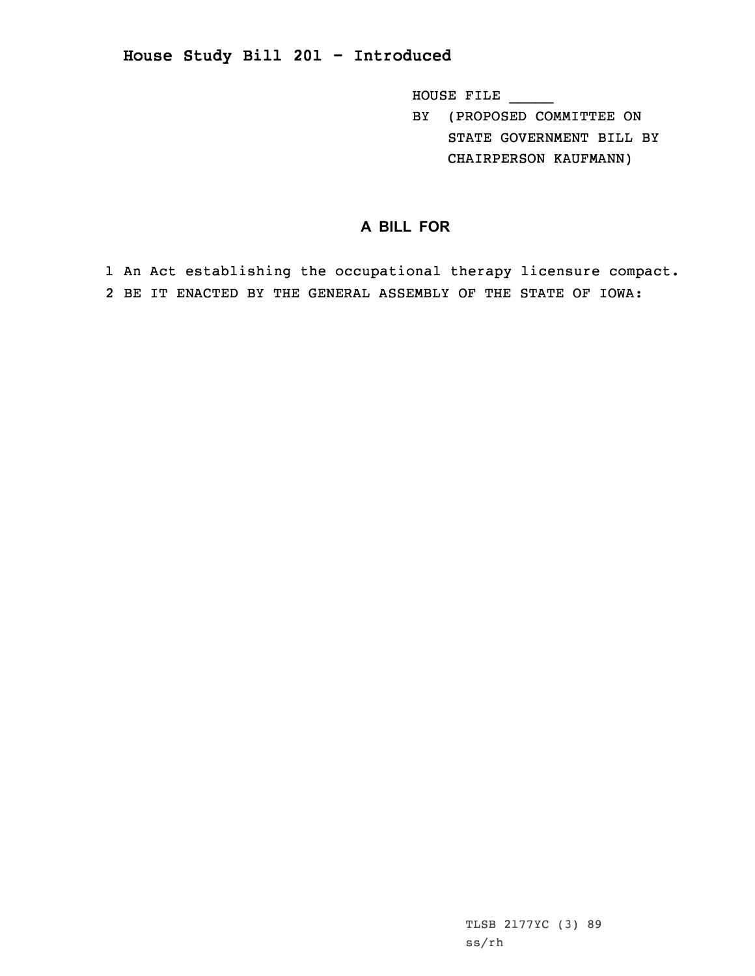HOUSE FILE \_\_\_\_\_

BY (PROPOSED COMMITTEE ON STATE GOVERNMENT BILL BY CHAIRPERSON KAUFMANN)

## **A BILL FOR**

1 An Act establishing the occupational therapy licensure compact. 2 BE IT ENACTED BY THE GENERAL ASSEMBLY OF THE STATE OF IOWA: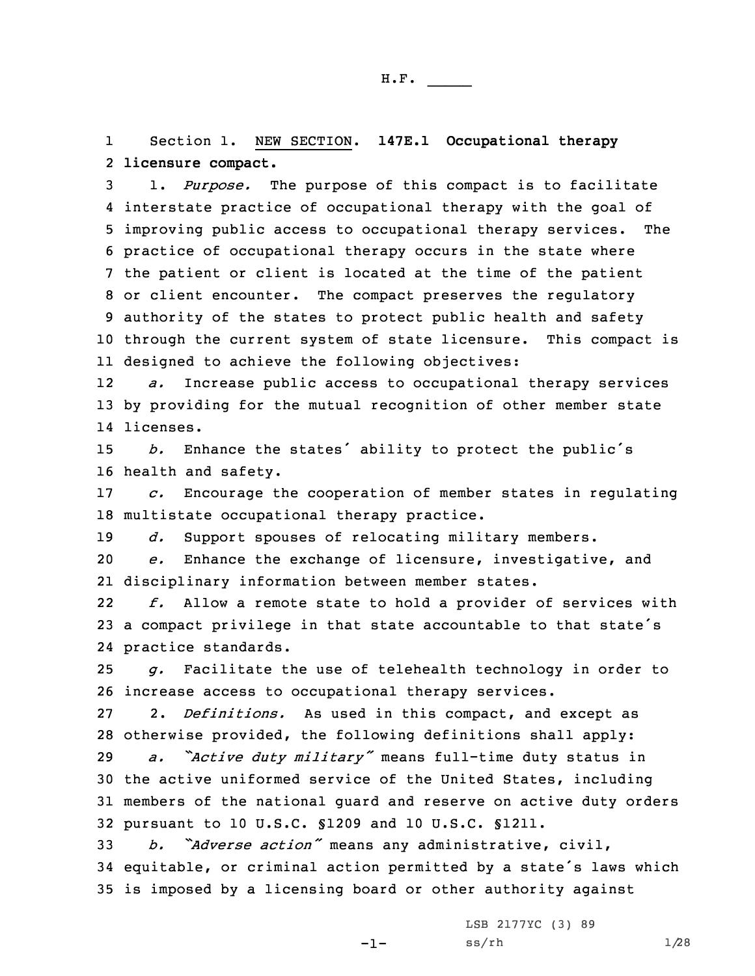1 Section 1. NEW SECTION. **147E.1 Occupational therapy** 2 **licensure compact.**

 1. *Purpose.* The purpose of this compact is to facilitate interstate practice of occupational therapy with the goal of improving public access to occupational therapy services. The practice of occupational therapy occurs in the state where the patient or client is located at the time of the patient or client encounter. The compact preserves the regulatory authority of the states to protect public health and safety through the current system of state licensure. This compact is designed to achieve the following objectives:

12 *a.* Increase public access to occupational therapy services 13 by providing for the mutual recognition of other member state 14 licenses.

<sup>15</sup> *b.* Enhance the states' ability to protect the public's 16 health and safety.

17 *c.* Encourage the cooperation of member states in regulating 18 multistate occupational therapy practice.

19 *d.* Support spouses of relocating military members.

20 *e.* Enhance the exchange of licensure, investigative, and 21 disciplinary information between member states.

22 *f.* Allow <sup>a</sup> remote state to hold <sup>a</sup> provider of services with <sup>23</sup> <sup>a</sup> compact privilege in that state accountable to that state's 24 practice standards.

25 *g.* Facilitate the use of telehealth technology in order to 26 increase access to occupational therapy services.

27 2. *Definitions.* As used in this compact, and except as 28 otherwise provided, the following definitions shall apply:

 *a. "Active duty military"* means full-time duty status in the active uniformed service of the United States, including members of the national guard and reserve on active duty orders pursuant to 10 U.S.C. §1209 and 10 U.S.C. §1211.

<sup>33</sup> *b. "Adverse action"* means any administrative, civil, <sup>34</sup> equitable, or criminal action permitted by <sup>a</sup> state's laws which 35 is imposed by <sup>a</sup> licensing board or other authority against

 $-1-$ 

LSB 2177YC (3) 89  $ss/rh$   $1/28$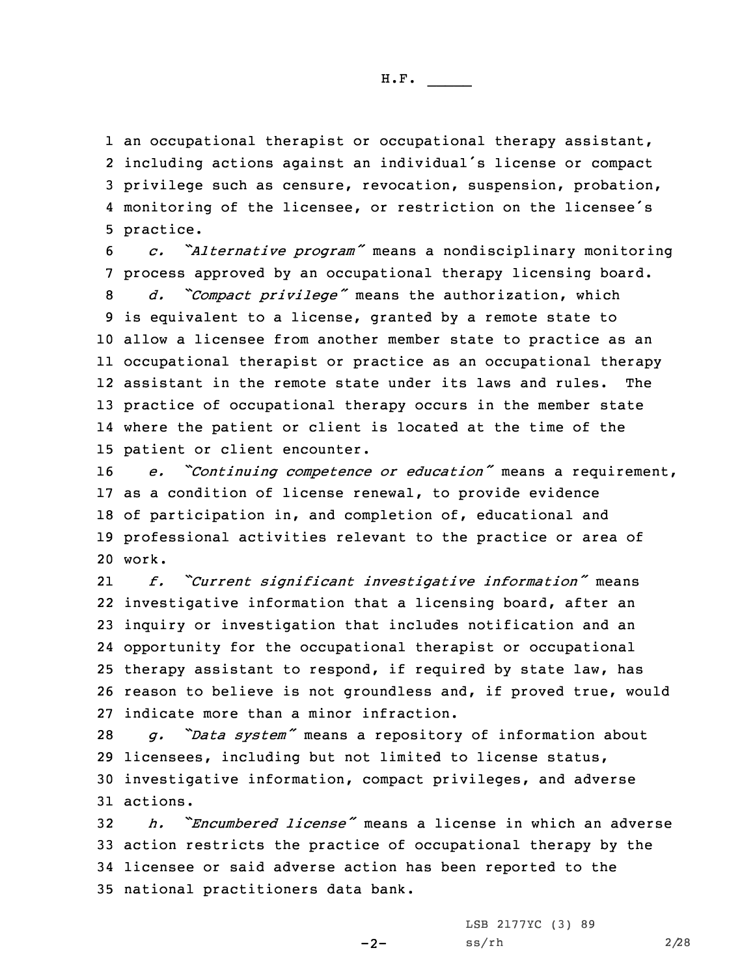1 an occupational therapist or occupational therapy assistant, including actions against an individual's license or compact privilege such as censure, revocation, suspension, probation, monitoring of the licensee, or restriction on the licensee's practice.

 *c. "Alternative program"* means <sup>a</sup> nondisciplinary monitoring process approved by an occupational therapy licensing board. *d. "Compact privilege"* means the authorization, which is equivalent to <sup>a</sup> license, granted by <sup>a</sup> remote state to allow <sup>a</sup> licensee from another member state to practice as an occupational therapist or practice as an occupational therapy assistant in the remote state under its laws and rules. The practice of occupational therapy occurs in the member state where the patient or client is located at the time of the patient or client encounter.

 *e. "Continuing competence or education"* means <sup>a</sup> requirement, as <sup>a</sup> condition of license renewal, to provide evidence of participation in, and completion of, educational and professional activities relevant to the practice or area of 20 work.

21 *f. "Current significant investigative information"* means investigative information that <sup>a</sup> licensing board, after an inquiry or investigation that includes notification and an opportunity for the occupational therapist or occupational therapy assistant to respond, if required by state law, has reason to believe is not groundless and, if proved true, would indicate more than <sup>a</sup> minor infraction.

 *g. "Data system"* means <sup>a</sup> repository of information about licensees, including but not limited to license status, investigative information, compact privileges, and adverse 31 actions.

 *h. "Encumbered license"* means <sup>a</sup> license in which an adverse action restricts the practice of occupational therapy by the licensee or said adverse action has been reported to the national practitioners data bank.

 $-2-$ 

LSB 2177YC (3) 89 ss/rh 2/28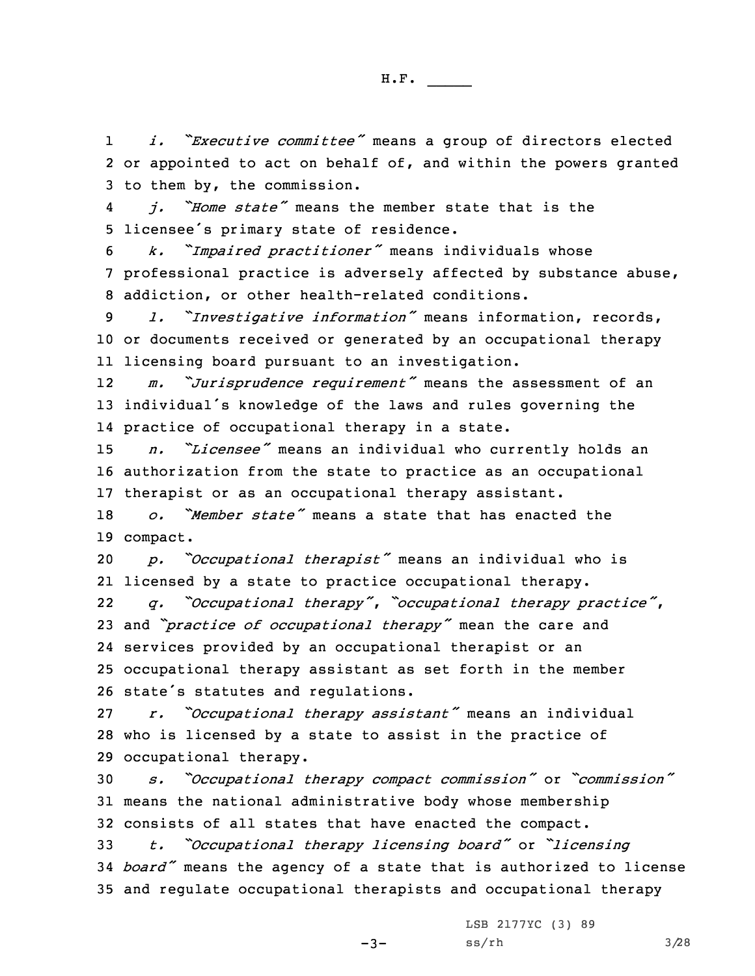1 *i. "Executive committee"* means <sup>a</sup> group of directors elected 2 or appointed to act on behalf of, and within the powers granted 3 to them by, the commission.

4 *j. "Home state"* means the member state that is the <sup>5</sup> licensee's primary state of residence.

<sup>6</sup> *k. "Impaired practitioner"* means individuals whose 7 professional practice is adversely affected by substance abuse, 8 addiction, or other health-related conditions.

<sup>9</sup> *l. "Investigative information"* means information, records, 10 or documents received or generated by an occupational therapy 11 licensing board pursuant to an investigation.

12 *m. "Jurisprudence requirement"* means the assessment of an <sup>13</sup> individual's knowledge of the laws and rules governing the 14 practice of occupational therapy in <sup>a</sup> state.

<sup>15</sup> *n. "Licensee"* means an individual who currently holds an 16 authorization from the state to practice as an occupational 17 therapist or as an occupational therapy assistant.

18 *o. "Member state"* means <sup>a</sup> state that has enacted the 19 compact.

<sup>20</sup> *p. "Occupational therapist"* means an individual who is 21 licensed by <sup>a</sup> state to practice occupational therapy.

22 *q. "Occupational therapy"*, *"occupational therapy practice"*, and *"practice of occupational therapy"* mean the care and services provided by an occupational therapist or an occupational therapy assistant as set forth in the member state's statutes and regulations.

27 *r. "Occupational therapy assistant"* means an individual 28 who is licensed by <sup>a</sup> state to assist in the practice of 29 occupational therapy.

<sup>30</sup> *s. "Occupational therapy compact commission"* or *"commission"* 31 means the national administrative body whose membership 32 consists of all states that have enacted the compact.

<sup>33</sup> *t. "Occupational therapy licensing board"* or *"licensing* <sup>34</sup> *board"* means the agency of <sup>a</sup> state that is authorized to license 35 and regulate occupational therapists and occupational therapy

LSB 2177YC (3) 89

 $-3-$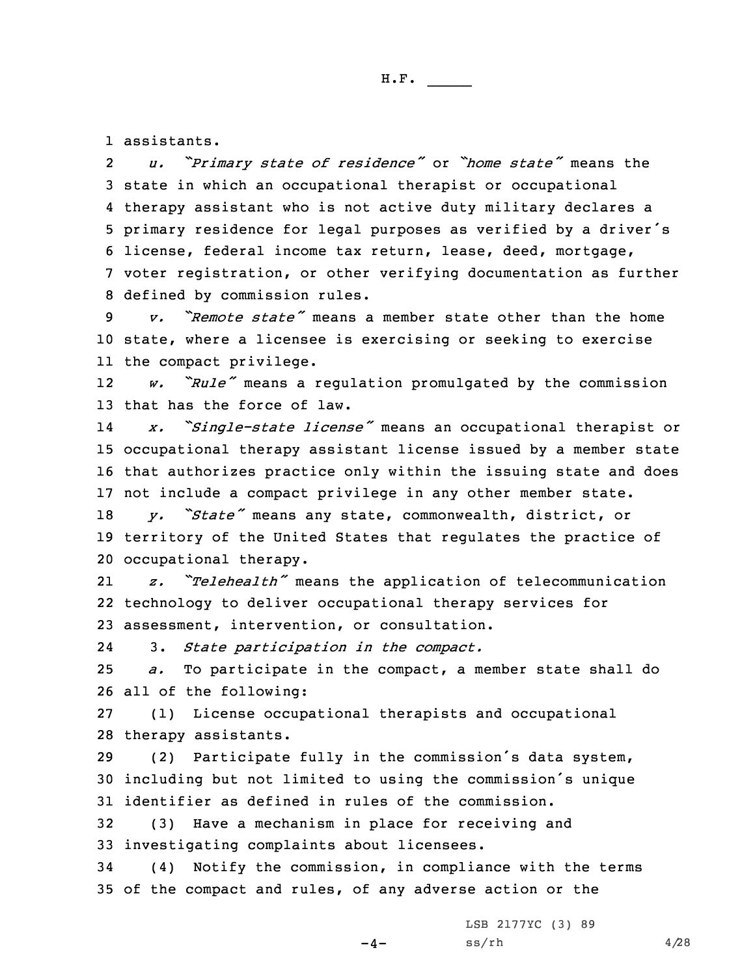1 assistants.

2 *u. "Primary state of residence"* or *"home state"* means the state in which an occupational therapist or occupational therapy assistant who is not active duty military declares <sup>a</sup> primary residence for legal purposes as verified by <sup>a</sup> driver's license, federal income tax return, lease, deed, mortgage, voter registration, or other verifying documentation as further defined by commission rules.

9 *v. "Remote state"* means <sup>a</sup> member state other than the home 10 state, where <sup>a</sup> licensee is exercising or seeking to exercise 11 the compact privilege.

12 *w. "Rule"* means <sup>a</sup> regulation promulgated by the commission 13 that has the force of law.

14 *x. "Single-state license"* means an occupational therapist or 15 occupational therapy assistant license issued by <sup>a</sup> member state 16 that authorizes practice only within the issuing state and does 17 not include <sup>a</sup> compact privilege in any other member state.

<sup>18</sup> *y. "State"* means any state, commonwealth, district, or 19 territory of the United States that regulates the practice of 20 occupational therapy.

21 *z. "Telehealth"* means the application of telecommunication 22 technology to deliver occupational therapy services for 23 assessment, intervention, or consultation.

243. *State participation in the compact.*

25 *a.* To participate in the compact, <sup>a</sup> member state shall do 26 all of the following:

27 (1) License occupational therapists and occupational 28 therapy assistants.

<sup>29</sup> (2) Participate fully in the commission's data system, <sup>30</sup> including but not limited to using the commission's unique 31 identifier as defined in rules of the commission.

32 (3) Have <sup>a</sup> mechanism in place for receiving and 33 investigating complaints about licensees.

34 (4) Notify the commission, in compliance with the terms 35 of the compact and rules, of any adverse action or the

 $-4-$ 

LSB 2177YC (3) 89  $ss/rh$  4/28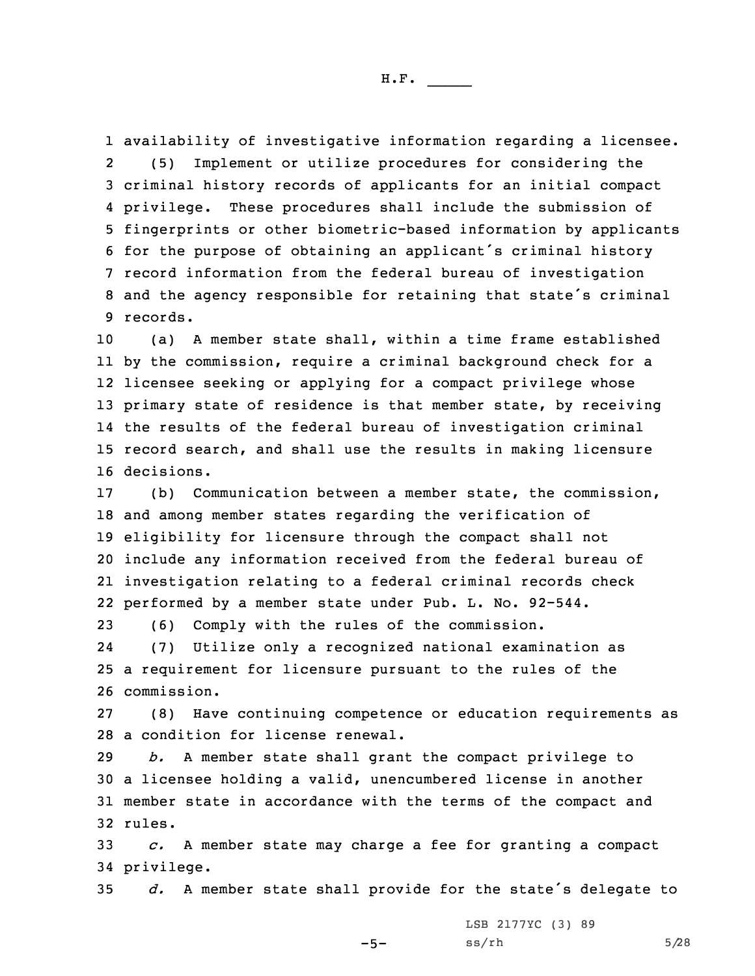availability of investigative information regarding <sup>a</sup> licensee. 2 (5) Implement or utilize procedures for considering the criminal history records of applicants for an initial compact privilege. These procedures shall include the submission of fingerprints or other biometric-based information by applicants for the purpose of obtaining an applicant's criminal history record information from the federal bureau of investigation and the agency responsible for retaining that state's criminal 9 records.

 (a) <sup>A</sup> member state shall, within <sup>a</sup> time frame established by the commission, require <sup>a</sup> criminal background check for <sup>a</sup> licensee seeking or applying for <sup>a</sup> compact privilege whose primary state of residence is that member state, by receiving the results of the federal bureau of investigation criminal record search, and shall use the results in making licensure decisions.

 (b) Communication between <sup>a</sup> member state, the commission, and among member states regarding the verification of eligibility for licensure through the compact shall not include any information received from the federal bureau of investigation relating to <sup>a</sup> federal criminal records check performed by <sup>a</sup> member state under Pub. L. No. 92-544.

23 (6) Comply with the rules of the commission. 24 (7) Utilize only <sup>a</sup> recognized national examination as 25 <sup>a</sup> requirement for licensure pursuant to the rules of the 26 commission.

27 (8) Have continuing competence or education requirements as 28 <sup>a</sup> condition for license renewal.

 *b.* <sup>A</sup> member state shall grant the compact privilege to <sup>a</sup> licensee holding <sup>a</sup> valid, unencumbered license in another member state in accordance with the terms of the compact and 32 rules.

33 *c.* <sup>A</sup> member state may charge <sup>a</sup> fee for granting <sup>a</sup> compact 34 privilege.

 $-5-$ 

<sup>35</sup> *d.* <sup>A</sup> member state shall provide for the state's delegate to

LSB 2177YC (3) 89  $ss/rh$  5/28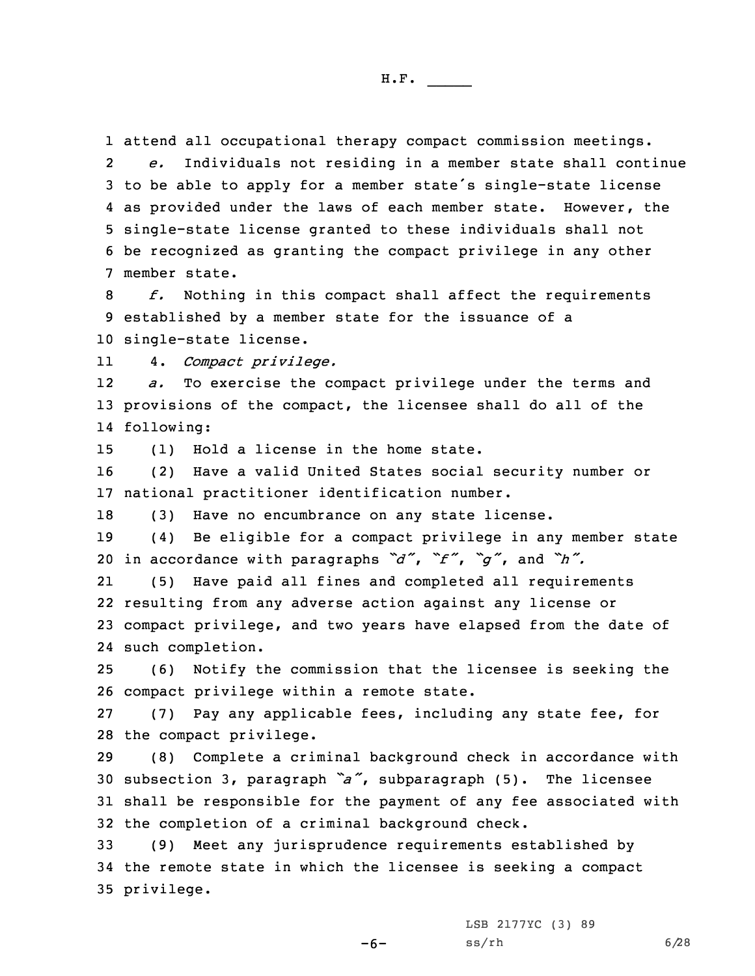1 attend all occupational therapy compact commission meetings.

2 *e.* Individuals not residing in <sup>a</sup> member state shall continue to be able to apply for <sup>a</sup> member state's single-state license as provided under the laws of each member state. However, the single-state license granted to these individuals shall not be recognized as granting the compact privilege in any other member state.

8 *f.* Nothing in this compact shall affect the requirements 9 established by <sup>a</sup> member state for the issuance of <sup>a</sup> 10 single-state license.

114. *Compact privilege.*

12 *a.* To exercise the compact privilege under the terms and 13 provisions of the compact, the licensee shall do all of the 14 following:

15 (1) Hold <sup>a</sup> license in the home state.

16 (2) Have <sup>a</sup> valid United States social security number or 17 national practitioner identification number.

18 (3) Have no encumbrance on any state license.

19 (4) Be eligible for <sup>a</sup> compact privilege in any member state <sup>20</sup> in accordance with paragraphs *"d"*, *"f"*, *"g"*, and *"h".*

21 (5) Have paid all fines and completed all requirements 22 resulting from any adverse action against any license or 23 compact privilege, and two years have elapsed from the date of 24 such completion.

25 (6) Notify the commission that the licensee is seeking the 26 compact privilege within <sup>a</sup> remote state.

27 (7) Pay any applicable fees, including any state fee, for 28 the compact privilege.

 (8) Complete <sup>a</sup> criminal background check in accordance with subsection 3, paragraph *"a"*, subparagraph (5). The licensee shall be responsible for the payment of any fee associated with the completion of <sup>a</sup> criminal background check.

33 (9) Meet any jurisprudence requirements established by 34 the remote state in which the licensee is seeking <sup>a</sup> compact 35 privilege.

-6-

LSB 2177YC (3) 89  $ss/rh$  6/28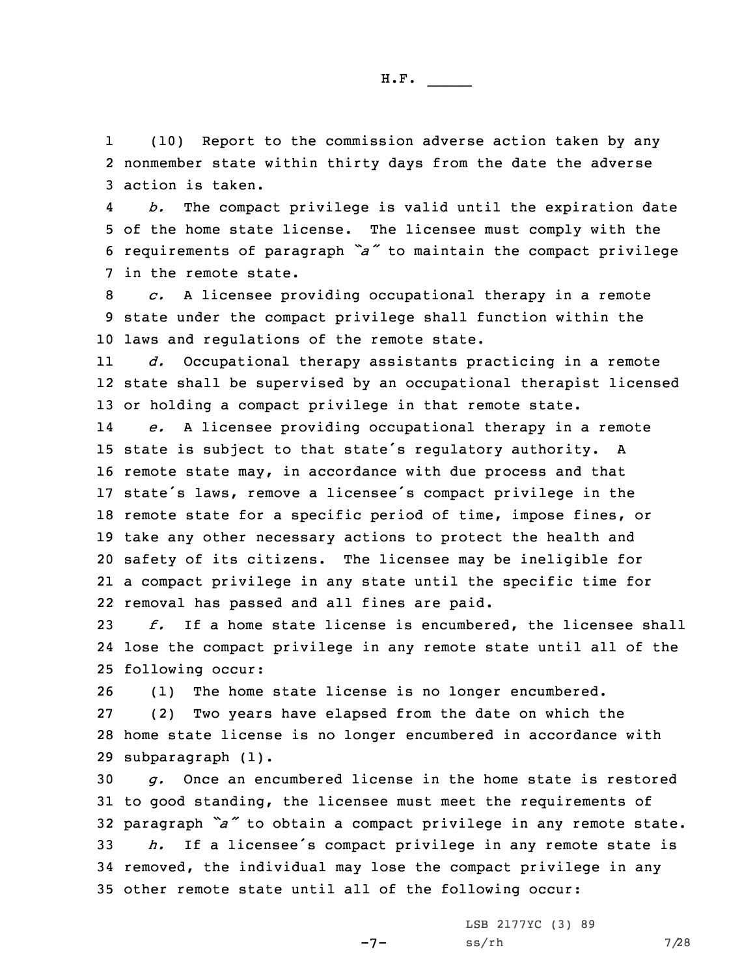1 (10) Report to the commission adverse action taken by any 2 nonmember state within thirty days from the date the adverse 3 action is taken.

4 *b.* The compact privilege is valid until the expiration date 5 of the home state license. The licensee must comply with the <sup>6</sup> requirements of paragraph *"a"* to maintain the compact privilege 7 in the remote state.

8 *c.* <sup>A</sup> licensee providing occupational therapy in <sup>a</sup> remote 9 state under the compact privilege shall function within the 10 laws and regulations of the remote state.

11 *d.* Occupational therapy assistants practicing in <sup>a</sup> remote 12 state shall be supervised by an occupational therapist licensed 13 or holding <sup>a</sup> compact privilege in that remote state.

14 *e.* <sup>A</sup> licensee providing occupational therapy in <sup>a</sup> remote state is subject to that state's regulatory authority. <sup>A</sup> remote state may, in accordance with due process and that state's laws, remove <sup>a</sup> licensee's compact privilege in the remote state for <sup>a</sup> specific period of time, impose fines, or take any other necessary actions to protect the health and safety of its citizens. The licensee may be ineligible for <sup>a</sup> compact privilege in any state until the specific time for removal has passed and all fines are paid.

23 *f.* If <sup>a</sup> home state license is encumbered, the licensee shall 24 lose the compact privilege in any remote state until all of the 25 following occur:

26 (1) The home state license is no longer encumbered.

27 (2) Two years have elapsed from the date on which the 28 home state license is no longer encumbered in accordance with 29 subparagraph (1).

 *g.* Once an encumbered license in the home state is restored to good standing, the licensee must meet the requirements of paragraph *"a"* to obtain <sup>a</sup> compact privilege in any remote state. *h.* If <sup>a</sup> licensee's compact privilege in any remote state is removed, the individual may lose the compact privilege in any other remote state until all of the following occur:

 $-7-$ 

LSB 2177YC (3) 89  $ss/rh$  7/28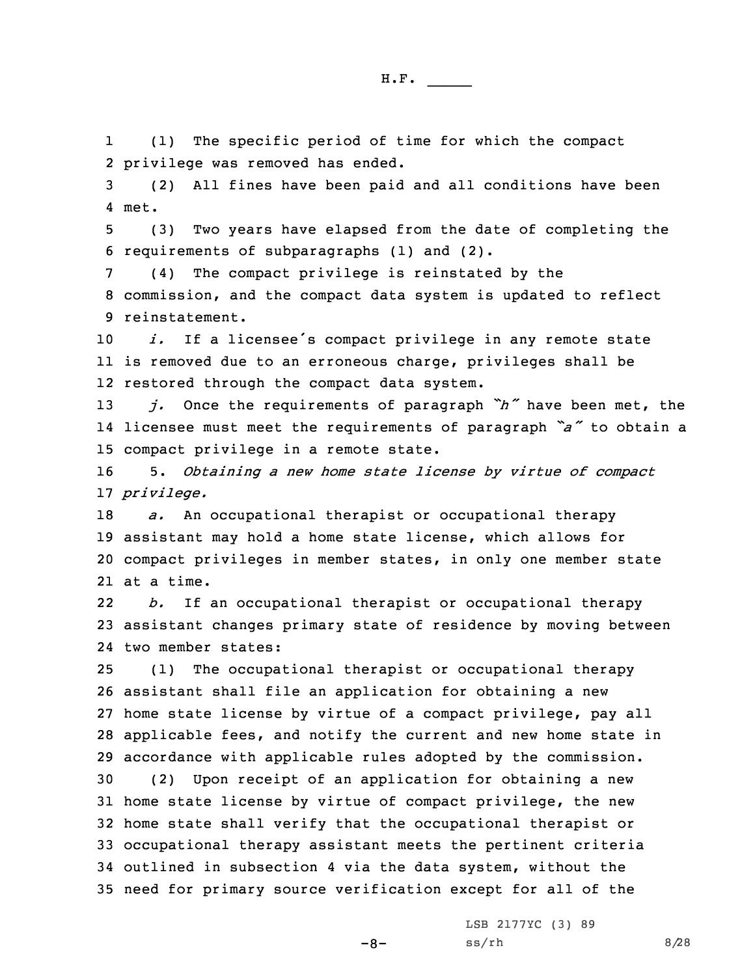1 (1) The specific period of time for which the compact 2 privilege was removed has ended.

3 (2) All fines have been paid and all conditions have been 4 met.

5 (3) Two years have elapsed from the date of completing the 6 requirements of subparagraphs (1) and (2).

7 (4) The compact privilege is reinstated by the 8 commission, and the compact data system is updated to reflect 9 reinstatement.

<sup>10</sup> *i.* If <sup>a</sup> licensee's compact privilege in any remote state 11 is removed due to an erroneous charge, privileges shall be 12 restored through the compact data system.

<sup>13</sup> *j.* Once the requirements of paragraph *"h"* have been met, the 14 licensee must meet the requirements of paragraph *"a"* to obtain <sup>a</sup> 15 compact privilege in <sup>a</sup> remote state.

16 5. *Obtaining <sup>a</sup> new home state license by virtue of compact* 17 *privilege.*

 *a.* An occupational therapist or occupational therapy assistant may hold <sup>a</sup> home state license, which allows for compact privileges in member states, in only one member state at <sup>a</sup> time.

22 *b.* If an occupational therapist or occupational therapy 23 assistant changes primary state of residence by moving between 24 two member states:

 (1) The occupational therapist or occupational therapy assistant shall file an application for obtaining <sup>a</sup> new home state license by virtue of <sup>a</sup> compact privilege, pay all applicable fees, and notify the current and new home state in accordance with applicable rules adopted by the commission.

 (2) Upon receipt of an application for obtaining <sup>a</sup> new home state license by virtue of compact privilege, the new home state shall verify that the occupational therapist or occupational therapy assistant meets the pertinent criteria outlined in subsection 4 via the data system, without the need for primary source verification except for all of the

 $-8-$ 

LSB 2177YC (3) 89  $ss/rh$  8/28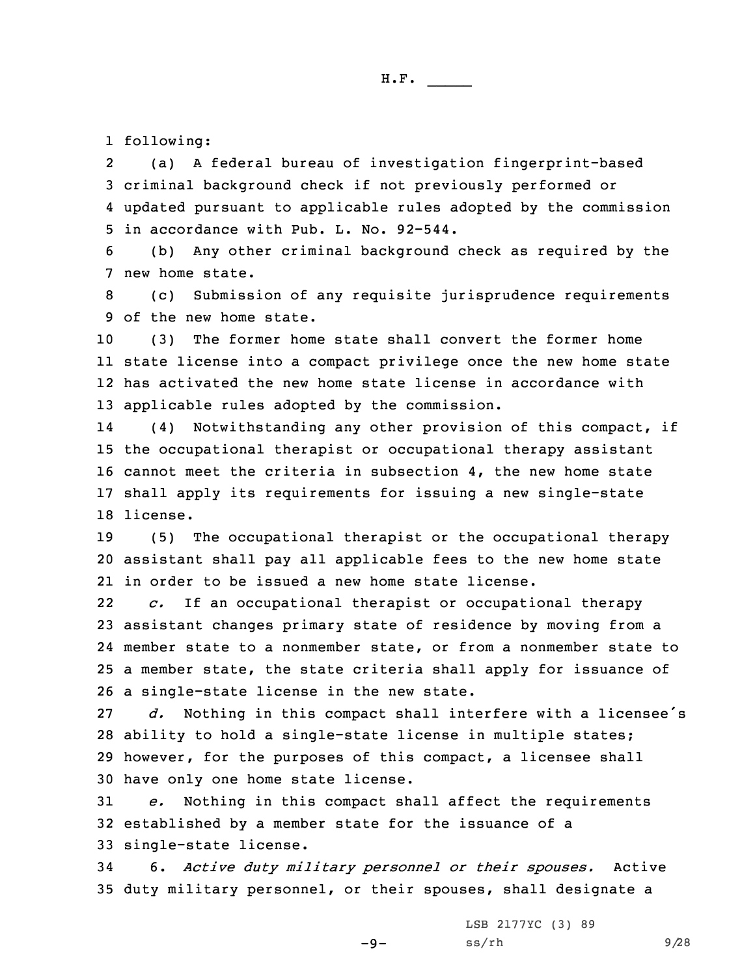1 following:

2 (a) <sup>A</sup> federal bureau of investigation fingerprint-based 3 criminal background check if not previously performed or 4 updated pursuant to applicable rules adopted by the commission 5 in accordance with Pub. L. No. 92-544.

6 (b) Any other criminal background check as required by the 7 new home state.

8 (c) Submission of any requisite jurisprudence requirements 9 of the new home state.

 (3) The former home state shall convert the former home state license into <sup>a</sup> compact privilege once the new home state has activated the new home state license in accordance with applicable rules adopted by the commission.

14 (4) Notwithstanding any other provision of this compact, if 15 the occupational therapist or occupational therapy assistant 16 cannot meet the criteria in subsection 4, the new home state 17 shall apply its requirements for issuing <sup>a</sup> new single-state 18 license.

19 (5) The occupational therapist or the occupational therapy 20 assistant shall pay all applicable fees to the new home state 21 in order to be issued <sup>a</sup> new home state license.

22 *c.* If an occupational therapist or occupational therapy assistant changes primary state of residence by moving from <sup>a</sup> member state to <sup>a</sup> nonmember state, or from <sup>a</sup> nonmember state to <sup>a</sup> member state, the state criteria shall apply for issuance of <sup>a</sup> single-state license in the new state.

 *d.* Nothing in this compact shall interfere with <sup>a</sup> licensee's ability to hold <sup>a</sup> single-state license in multiple states; however, for the purposes of this compact, <sup>a</sup> licensee shall have only one home state license.

31 *e.* Nothing in this compact shall affect the requirements 32 established by <sup>a</sup> member state for the issuance of <sup>a</sup> 33 single-state license.

34 6. *Active duty military personnel or their spouses.* Active 35 duty military personnel, or their spouses, shall designate <sup>a</sup>

 $-9-$ 

LSB 2177YC (3) 89  $ss/rh$  9/28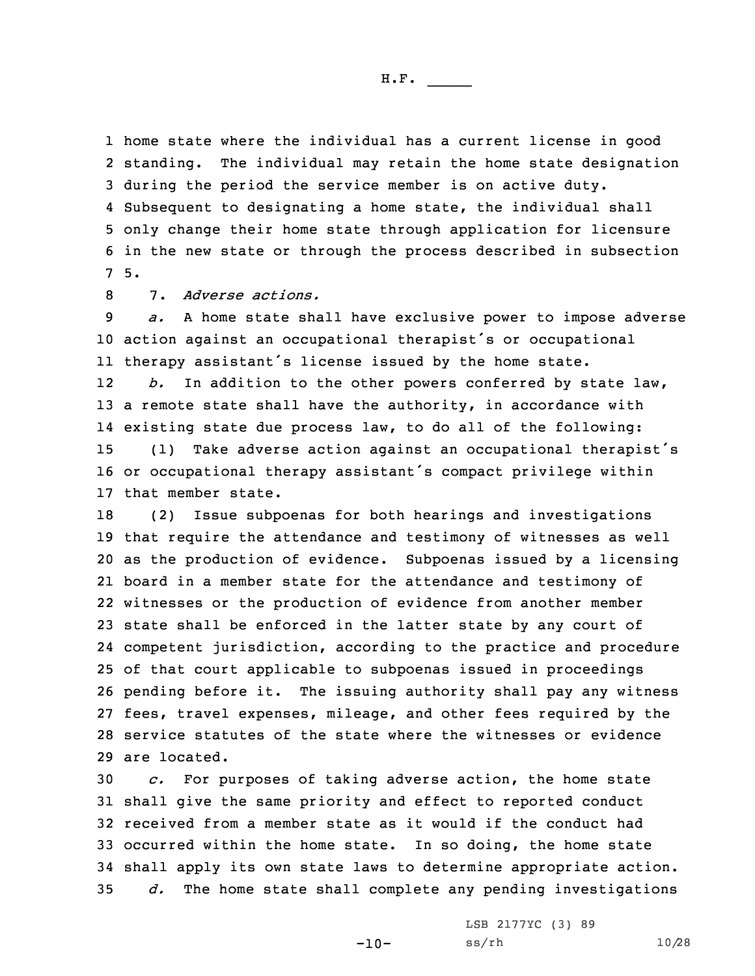home state where the individual has <sup>a</sup> current license in good 2 standing. The individual may retain the home state designation during the period the service member is on active duty. Subsequent to designating <sup>a</sup> home state, the individual shall only change their home state through application for licensure in the new state or through the process described in subsection 7 5.

8 7. *Adverse actions.*

 *a.* <sup>A</sup> home state shall have exclusive power to impose adverse action against an occupational therapist's or occupational therapy assistant's license issued by the home state. 12 *b.* In addition to the other powers conferred by state law, <sup>a</sup> remote state shall have the authority, in accordance with existing state due process law, to do all of the following:

<sup>15</sup> (1) Take adverse action against an occupational therapist's <sup>16</sup> or occupational therapy assistant's compact privilege within 17 that member state.

 (2) Issue subpoenas for both hearings and investigations that require the attendance and testimony of witnesses as well as the production of evidence. Subpoenas issued by <sup>a</sup> licensing board in <sup>a</sup> member state for the attendance and testimony of witnesses or the production of evidence from another member state shall be enforced in the latter state by any court of competent jurisdiction, according to the practice and procedure of that court applicable to subpoenas issued in proceedings pending before it. The issuing authority shall pay any witness fees, travel expenses, mileage, and other fees required by the service statutes of the state where the witnesses or evidence are located.

 *c.* For purposes of taking adverse action, the home state shall give the same priority and effect to reported conduct received from <sup>a</sup> member state as it would if the conduct had occurred within the home state. In so doing, the home state shall apply its own state laws to determine appropriate action. *d.* The home state shall complete any pending investigations

-10-

LSB 2177YC (3) 89 ss/rh 10/28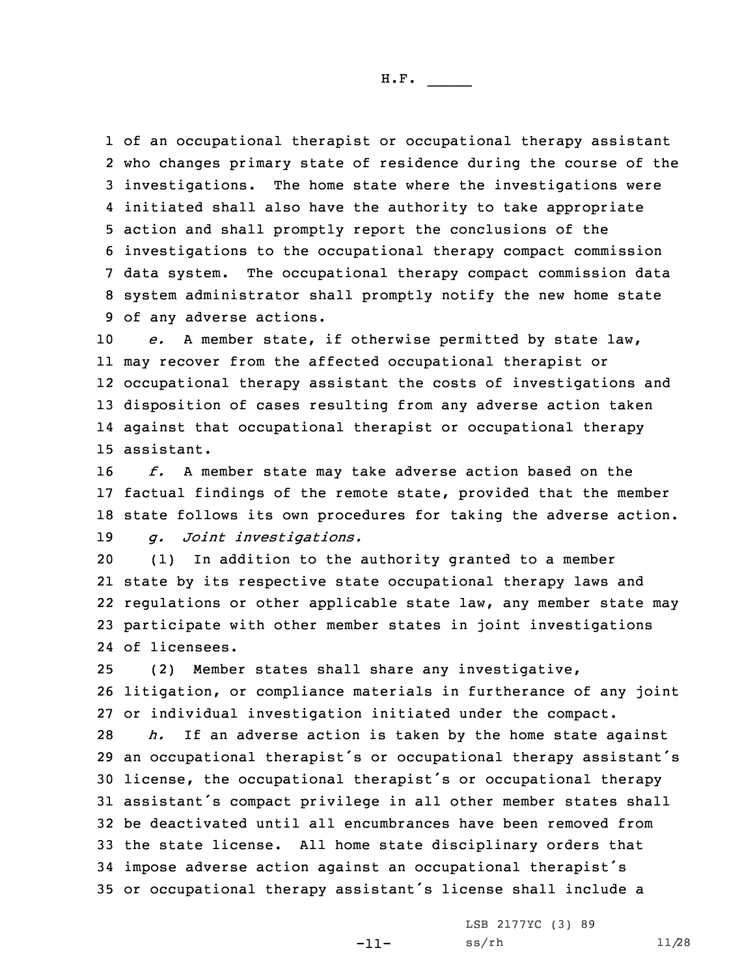of an occupational therapist or occupational therapy assistant who changes primary state of residence during the course of the investigations. The home state where the investigations were initiated shall also have the authority to take appropriate action and shall promptly report the conclusions of the investigations to the occupational therapy compact commission data system. The occupational therapy compact commission data system administrator shall promptly notify the new home state of any adverse actions.

 *e.* <sup>A</sup> member state, if otherwise permitted by state law, may recover from the affected occupational therapist or occupational therapy assistant the costs of investigations and disposition of cases resulting from any adverse action taken against that occupational therapist or occupational therapy assistant.

 *f.* <sup>A</sup> member state may take adverse action based on the factual findings of the remote state, provided that the member state follows its own procedures for taking the adverse action. *g. Joint investigations.*

 (1) In addition to the authority granted to <sup>a</sup> member state by its respective state occupational therapy laws and regulations or other applicable state law, any member state may participate with other member states in joint investigations of licensees.

25 (2) Member states shall share any investigative, 26 litigation, or compliance materials in furtherance of any joint 27 or individual investigation initiated under the compact.

 *h.* If an adverse action is taken by the home state against an occupational therapist's or occupational therapy assistant's license, the occupational therapist's or occupational therapy assistant's compact privilege in all other member states shall be deactivated until all encumbrances have been removed from the state license. All home state disciplinary orders that impose adverse action against an occupational therapist's or occupational therapy assistant's license shall include <sup>a</sup>

-11-

LSB 2177YC (3) 89 ss/rh 11/28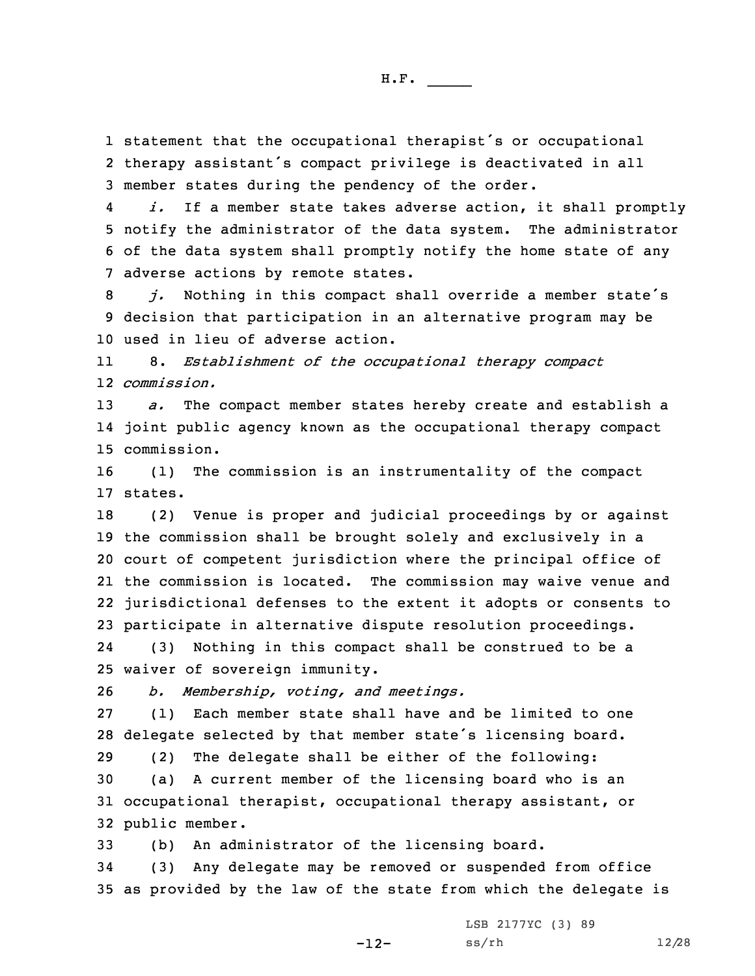1 statement that the occupational therapist's or occupational 2 therapy assistant's compact privilege is deactivated in all 3 member states during the pendency of the order.

4 *i.* If <sup>a</sup> member state takes adverse action, it shall promptly 5 notify the administrator of the data system. The administrator 6 of the data system shall promptly notify the home state of any 7 adverse actions by remote states.

<sup>8</sup> *j.* Nothing in this compact shall override <sup>a</sup> member state's 9 decision that participation in an alternative program may be 10 used in lieu of adverse action.

11 8. *Establishment of the occupational therapy compact* 12 *commission.*

13 *a.* The compact member states hereby create and establish <sup>a</sup> 14 joint public agency known as the occupational therapy compact 15 commission.

16 (1) The commission is an instrumentality of the compact 17 states.

 (2) Venue is proper and judicial proceedings by or against the commission shall be brought solely and exclusively in <sup>a</sup> court of competent jurisdiction where the principal office of the commission is located. The commission may waive venue and jurisdictional defenses to the extent it adopts or consents to participate in alternative dispute resolution proceedings.

24 (3) Nothing in this compact shall be construed to be <sup>a</sup> 25 waiver of sovereign immunity.

26 *b. Membership, voting, and meetings.*

27 (1) Each member state shall have and be limited to one <sup>28</sup> delegate selected by that member state's licensing board.

 (2) The delegate shall be either of the following: (a) <sup>A</sup> current member of the licensing board who is an occupational therapist, occupational therapy assistant, or public member.

33 (b) An administrator of the licensing board.

34 (3) Any delegate may be removed or suspended from office 35 as provided by the law of the state from which the delegate is

LSB 2177YC (3) 89

-12-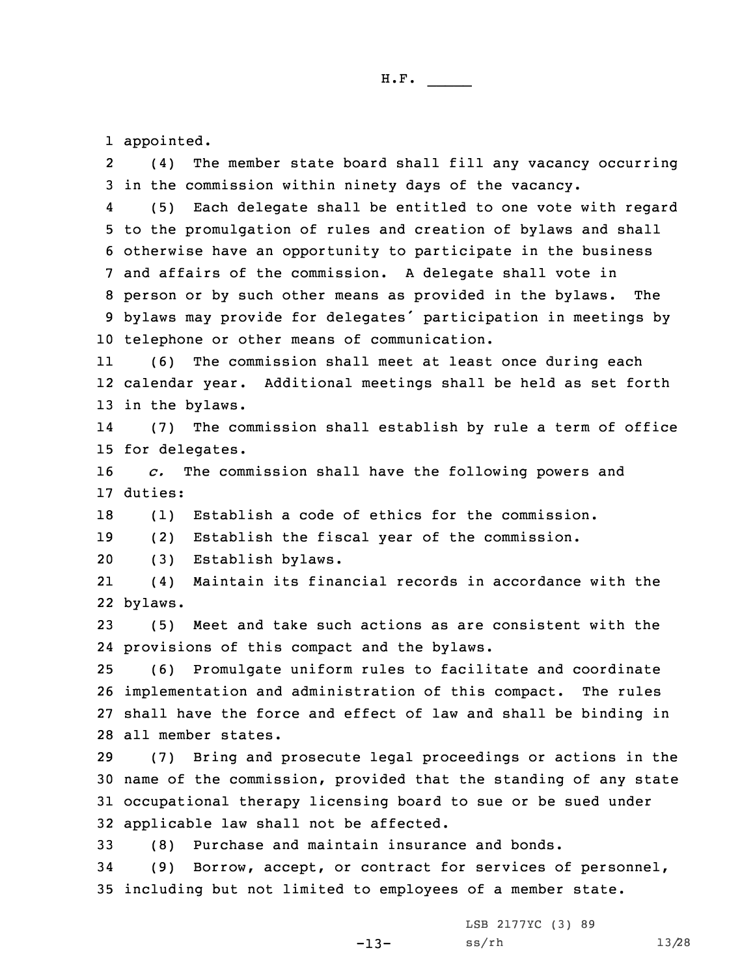1 appointed.

2 (4) The member state board shall fill any vacancy occurring 3 in the commission within ninety days of the vacancy.

4 (5) Each delegate shall be entitled to one vote with regard to the promulgation of rules and creation of bylaws and shall otherwise have an opportunity to participate in the business and affairs of the commission. <sup>A</sup> delegate shall vote in person or by such other means as provided in the bylaws. The bylaws may provide for delegates' participation in meetings by telephone or other means of communication.

11 (6) The commission shall meet at least once during each 12 calendar year. Additional meetings shall be held as set forth 13 in the bylaws.

14 (7) The commission shall establish by rule <sup>a</sup> term of office 15 for delegates.

16 *c.* The commission shall have the following powers and 17 duties:

18 (1) Establish <sup>a</sup> code of ethics for the commission.

19 (2) Establish the fiscal year of the commission.

20 (3) Establish bylaws.

21 (4) Maintain its financial records in accordance with the 22 bylaws.

23 (5) Meet and take such actions as are consistent with the 24 provisions of this compact and the bylaws.

 (6) Promulgate uniform rules to facilitate and coordinate implementation and administration of this compact. The rules shall have the force and effect of law and shall be binding in all member states.

 (7) Bring and prosecute legal proceedings or actions in the name of the commission, provided that the standing of any state occupational therapy licensing board to sue or be sued under applicable law shall not be affected.

33 (8) Purchase and maintain insurance and bonds.

34 (9) Borrow, accept, or contract for services of personnel, 35 including but not limited to employees of <sup>a</sup> member state.

-13-

LSB 2177YC (3) 89 ss/rh 13/28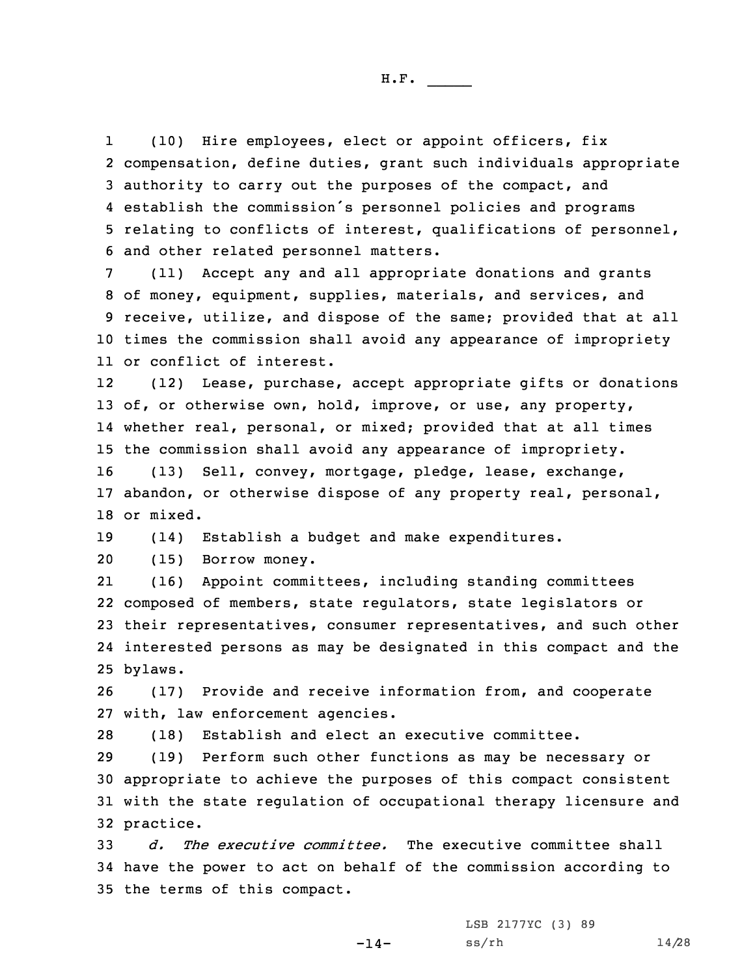1 (10) Hire employees, elect or appoint officers, fix compensation, define duties, grant such individuals appropriate authority to carry out the purposes of the compact, and establish the commission's personnel policies and programs relating to conflicts of interest, qualifications of personnel, and other related personnel matters.

 (11) Accept any and all appropriate donations and grants of money, equipment, supplies, materials, and services, and receive, utilize, and dispose of the same; provided that at all times the commission shall avoid any appearance of impropriety or conflict of interest.

12 (12) Lease, purchase, accept appropriate gifts or donations 13 of, or otherwise own, hold, improve, or use, any property, 14 whether real, personal, or mixed; provided that at all times 15 the commission shall avoid any appearance of impropriety.

16 (13) Sell, convey, mortgage, pledge, lease, exchange, 17 abandon, or otherwise dispose of any property real, personal, 18 or mixed.

19 (14) Establish <sup>a</sup> budget and make expenditures.

20 (15) Borrow money.

21 (16) Appoint committees, including standing committees 22 composed of members, state regulators, state legislators or 23 their representatives, consumer representatives, and such other 24 interested persons as may be designated in this compact and the 25 bylaws.

26 (17) Provide and receive information from, and cooperate 27 with, law enforcement agencies.

28 (18) Establish and elect an executive committee.

 (19) Perform such other functions as may be necessary or appropriate to achieve the purposes of this compact consistent with the state regulation of occupational therapy licensure and practice.

33 *d. The executive committee.* The executive committee shall 34 have the power to act on behalf of the commission according to 35 the terms of this compact.

-14-

LSB 2177YC (3) 89 ss/rh 14/28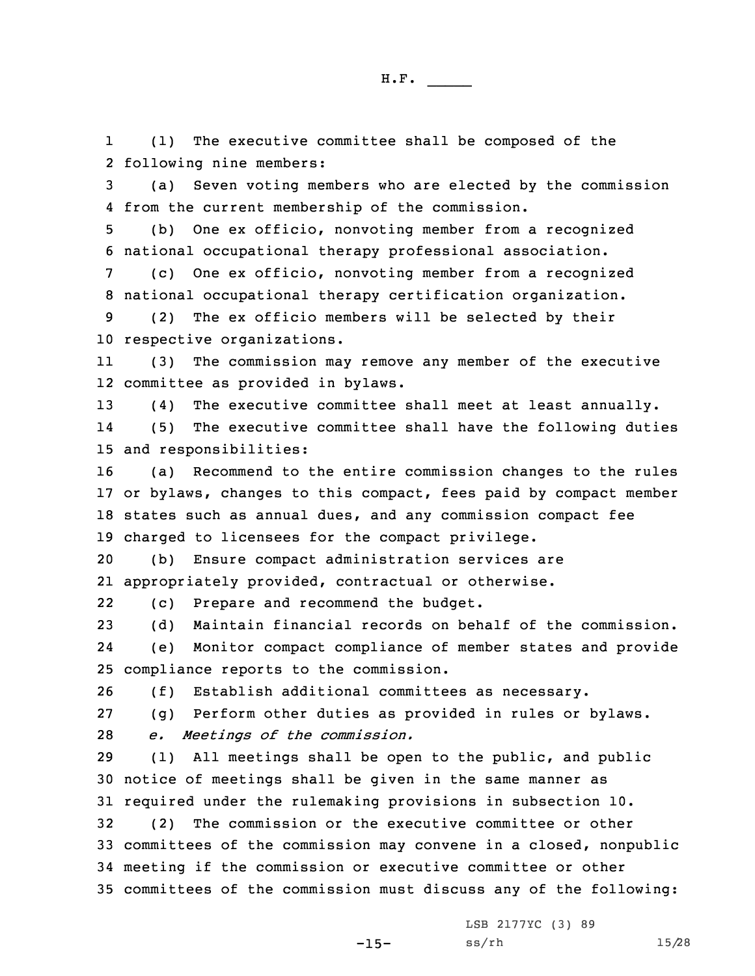1 (1) The executive committee shall be composed of the 2 following nine members:

3 (a) Seven voting members who are elected by the commission 4 from the current membership of the commission.

5 (b) One ex officio, nonvoting member from <sup>a</sup> recognized 6 national occupational therapy professional association.

7 (c) One ex officio, nonvoting member from <sup>a</sup> recognized 8 national occupational therapy certification organization.

9 (2) The ex officio members will be selected by their 10 respective organizations.

11 (3) The commission may remove any member of the executive 12 committee as provided in bylaws.

13 (4) The executive committee shall meet at least annually.

14 (5) The executive committee shall have the following duties 15 and responsibilities:

 (a) Recommend to the entire commission changes to the rules or bylaws, changes to this compact, fees paid by compact member states such as annual dues, and any commission compact fee charged to licensees for the compact privilege.

20 (b) Ensure compact administration services are 21 appropriately provided, contractual or otherwise.

22(c) Prepare and recommend the budget.

23 (d) Maintain financial records on behalf of the commission.

24 (e) Monitor compact compliance of member states and provide 25 compliance reports to the commission.

26 (f) Establish additional committees as necessary.

27 (g) Perform other duties as provided in rules or bylaws.

28 *e. Meetings of the commission.*

 (1) All meetings shall be open to the public, and public notice of meetings shall be given in the same manner as required under the rulemaking provisions in subsection 10. (2) The commission or the executive committee or other

33 committees of the commission may convene in <sup>a</sup> closed, nonpublic 34 meeting if the commission or executive committee or other 35 committees of the commission must discuss any of the following:

LSB 2177YC (3) 89

-15-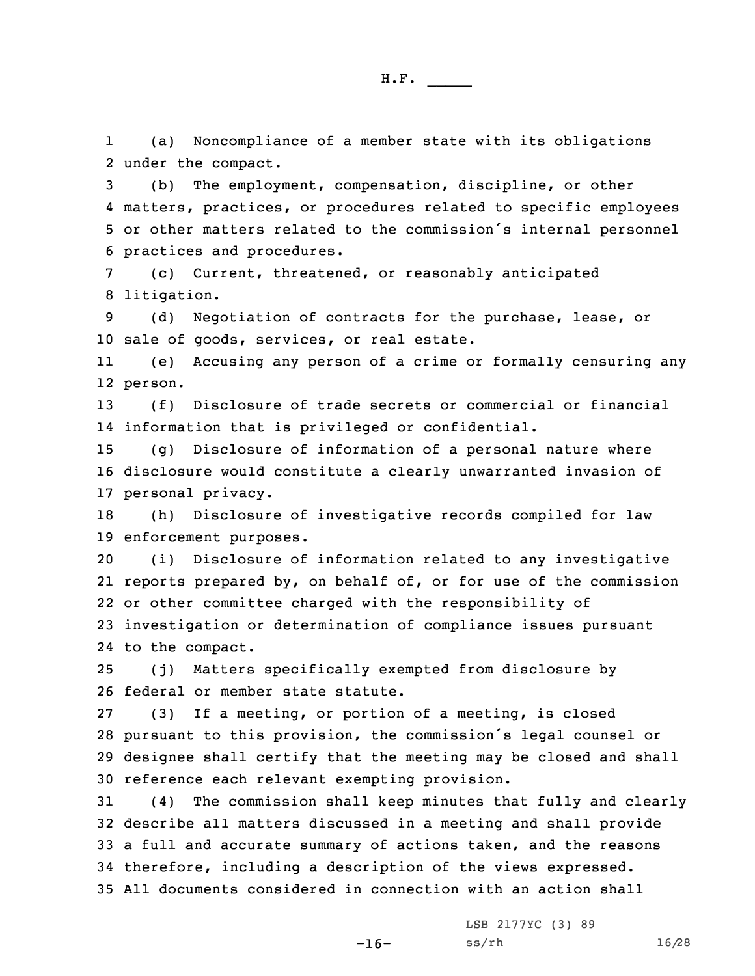1 (a) Noncompliance of <sup>a</sup> member state with its obligations 2 under the compact.

 (b) The employment, compensation, discipline, or other matters, practices, or procedures related to specific employees or other matters related to the commission's internal personnel practices and procedures.

7 (c) Current, threatened, or reasonably anticipated 8 litigation.

9 (d) Negotiation of contracts for the purchase, lease, or 10 sale of goods, services, or real estate.

11 (e) Accusing any person of <sup>a</sup> crime or formally censuring any 12 person.

13 (f) Disclosure of trade secrets or commercial or financial 14 information that is privileged or confidential.

15 (g) Disclosure of information of <sup>a</sup> personal nature where 16 disclosure would constitute <sup>a</sup> clearly unwarranted invasion of 17 personal privacy.

18 (h) Disclosure of investigative records compiled for law 19 enforcement purposes.

 (i) Disclosure of information related to any investigative reports prepared by, on behalf of, or for use of the commission or other committee charged with the responsibility of investigation or determination of compliance issues pursuant to the compact.

25 (j) Matters specifically exempted from disclosure by 26 federal or member state statute.

 (3) If <sup>a</sup> meeting, or portion of <sup>a</sup> meeting, is closed pursuant to this provision, the commission's legal counsel or designee shall certify that the meeting may be closed and shall reference each relevant exempting provision.

 (4) The commission shall keep minutes that fully and clearly describe all matters discussed in <sup>a</sup> meeting and shall provide <sup>a</sup> full and accurate summary of actions taken, and the reasons therefore, including <sup>a</sup> description of the views expressed. All documents considered in connection with an action shall

-16-

LSB 2177YC (3) 89 ss/rh 16/28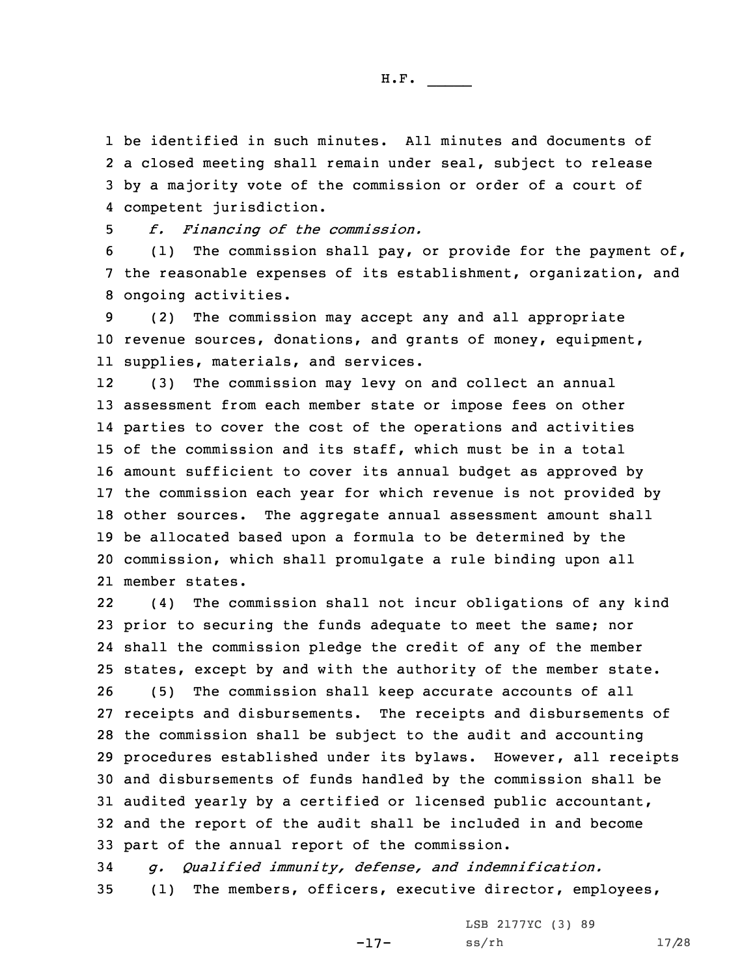be identified in such minutes. All minutes and documents of <sup>a</sup> closed meeting shall remain under seal, subject to release by <sup>a</sup> majority vote of the commission or order of <sup>a</sup> court of competent jurisdiction.

H.F. \_\_\_\_\_

5 *f. Financing of the commission.*

6 (1) The commission shall pay, or provide for the payment of, 7 the reasonable expenses of its establishment, organization, and 8 ongoing activities.

9 (2) The commission may accept any and all appropriate 10 revenue sources, donations, and grants of money, equipment, 11 supplies, materials, and services.

12 (3) The commission may levy on and collect an annual assessment from each member state or impose fees on other parties to cover the cost of the operations and activities of the commission and its staff, which must be in <sup>a</sup> total amount sufficient to cover its annual budget as approved by the commission each year for which revenue is not provided by other sources. The aggregate annual assessment amount shall be allocated based upon <sup>a</sup> formula to be determined by the commission, which shall promulgate <sup>a</sup> rule binding upon all member states.

22 (4) The commission shall not incur obligations of any kind prior to securing the funds adequate to meet the same; nor shall the commission pledge the credit of any of the member states, except by and with the authority of the member state. (5) The commission shall keep accurate accounts of all receipts and disbursements. The receipts and disbursements of the commission shall be subject to the audit and accounting procedures established under its bylaws. However, all receipts and disbursements of funds handled by the commission shall be audited yearly by <sup>a</sup> certified or licensed public accountant, and the report of the audit shall be included in and become part of the annual report of the commission.

34 *g. Qualified immunity, defense, and indemnification.* 35 (1) The members, officers, executive director, employees,

-17-

LSB 2177YC (3) 89 ss/rh 17/28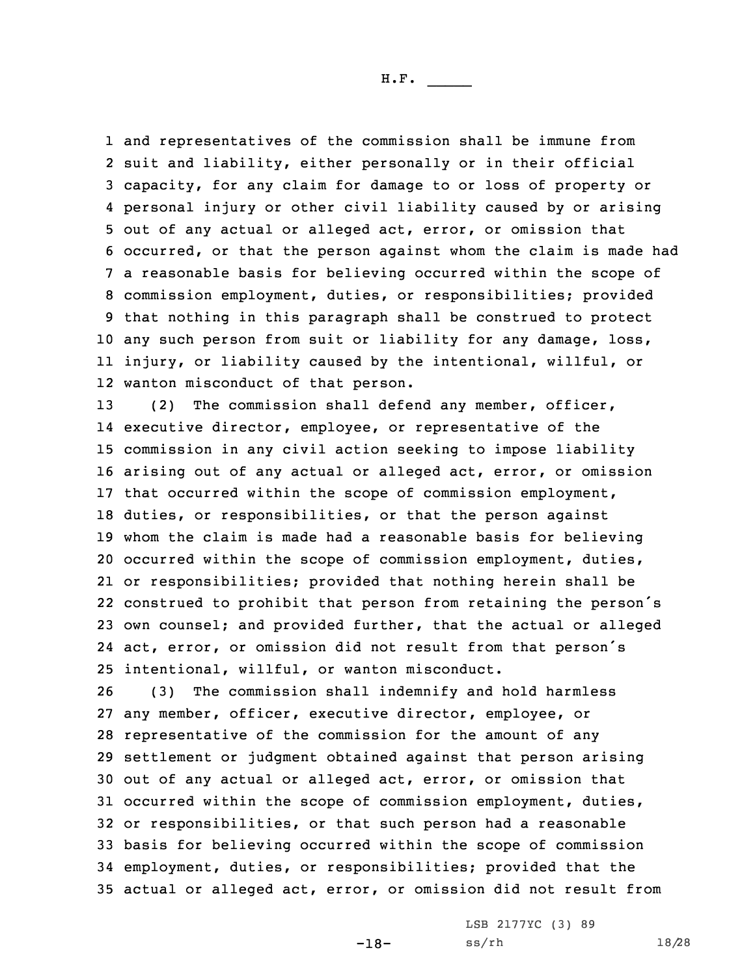and representatives of the commission shall be immune from suit and liability, either personally or in their official capacity, for any claim for damage to or loss of property or personal injury or other civil liability caused by or arising out of any actual or alleged act, error, or omission that occurred, or that the person against whom the claim is made had <sup>a</sup> reasonable basis for believing occurred within the scope of commission employment, duties, or responsibilities; provided that nothing in this paragraph shall be construed to protect any such person from suit or liability for any damage, loss, injury, or liability caused by the intentional, willful, or wanton misconduct of that person.

13 (2) The commission shall defend any member, officer, executive director, employee, or representative of the commission in any civil action seeking to impose liability arising out of any actual or alleged act, error, or omission that occurred within the scope of commission employment, duties, or responsibilities, or that the person against whom the claim is made had <sup>a</sup> reasonable basis for believing occurred within the scope of commission employment, duties, or responsibilities; provided that nothing herein shall be construed to prohibit that person from retaining the person's own counsel; and provided further, that the actual or alleged act, error, or omission did not result from that person's intentional, willful, or wanton misconduct.

 (3) The commission shall indemnify and hold harmless any member, officer, executive director, employee, or representative of the commission for the amount of any settlement or judgment obtained against that person arising out of any actual or alleged act, error, or omission that occurred within the scope of commission employment, duties, or responsibilities, or that such person had <sup>a</sup> reasonable basis for believing occurred within the scope of commission employment, duties, or responsibilities; provided that the actual or alleged act, error, or omission did not result from

> LSB 2177YC (3) 89 ss/rh 18/28

-18-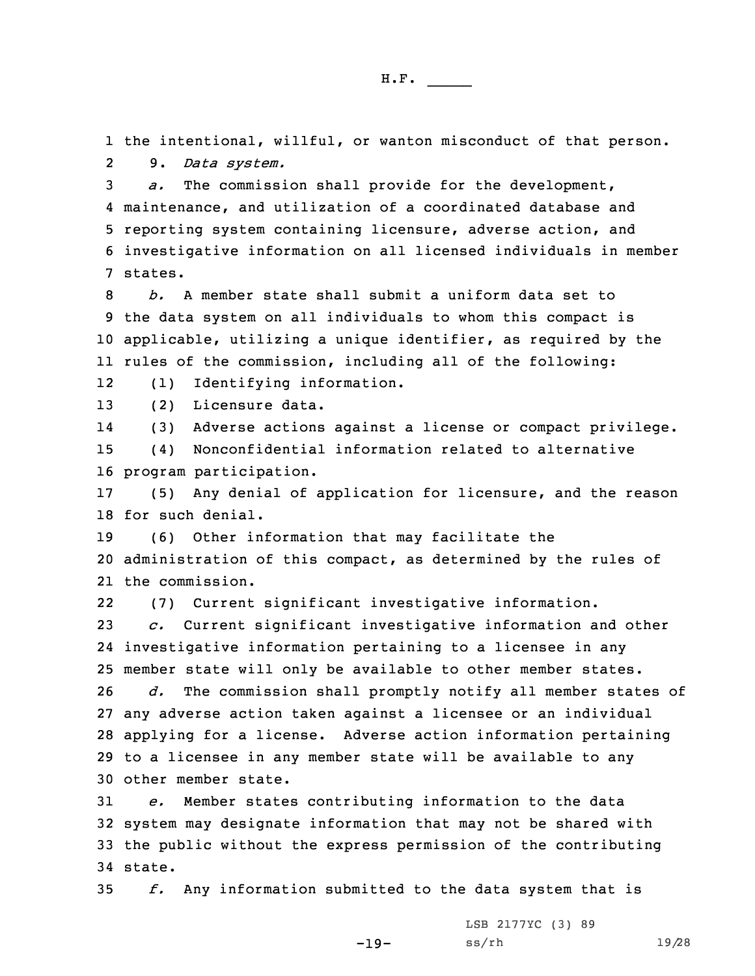1 the intentional, willful, or wanton misconduct of that person. 29. *Data system.*

 *a.* The commission shall provide for the development, maintenance, and utilization of <sup>a</sup> coordinated database and reporting system containing licensure, adverse action, and investigative information on all licensed individuals in member 7 states.

 *b.* A member state shall submit <sup>a</sup> uniform data set to the data system on all individuals to whom this compact is applicable, utilizing <sup>a</sup> unique identifier, as required by the rules of the commission, including all of the following:

12(1) Identifying information.

13 (2) Licensure data.

14(3) Adverse actions against <sup>a</sup> license or compact privilege.

15 (4) Nonconfidential information related to alternative 16 program participation.

17 (5) Any denial of application for licensure, and the reason 18 for such denial.

19 (6) Other information that may facilitate the 20 administration of this compact, as determined by the rules of 21 the commission.

22(7) Current significant investigative information.

 *c.* Current significant investigative information and other investigative information pertaining to <sup>a</sup> licensee in any member state will only be available to other member states. *d.* The commission shall promptly notify all member states of

 any adverse action taken against <sup>a</sup> licensee or an individual applying for <sup>a</sup> license. Adverse action information pertaining to <sup>a</sup> licensee in any member state will be available to any other member state.

 *e.* Member states contributing information to the data system may designate information that may not be shared with the public without the express permission of the contributing 34 state.

35 *f.* Any information submitted to the data system that is

-19-

LSB 2177YC (3) 89 ss/rh 19/28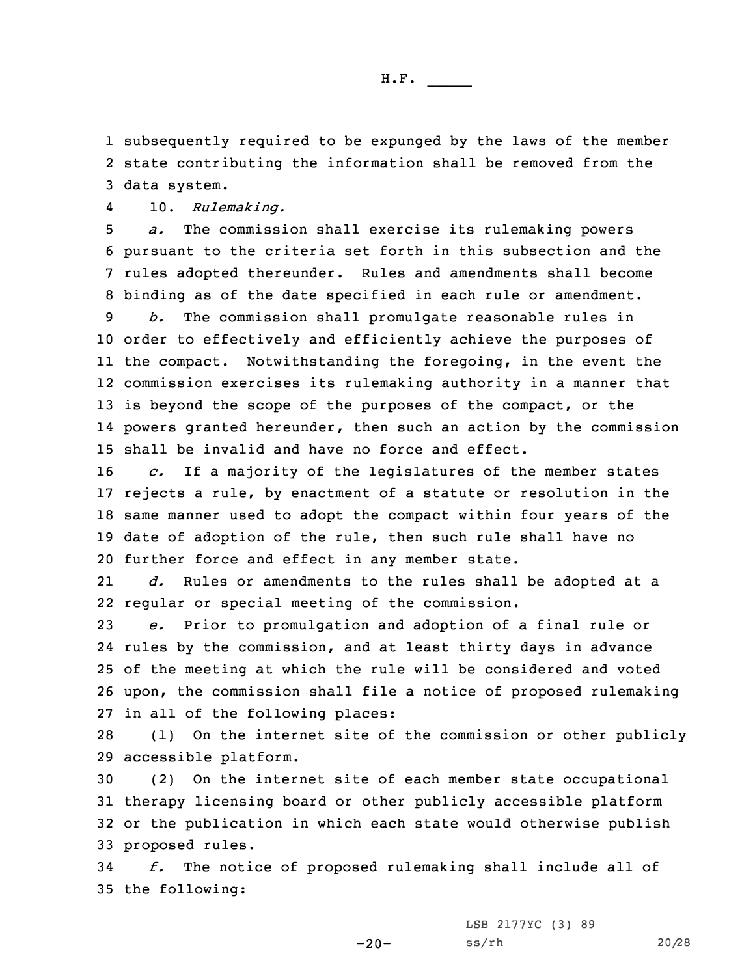1 subsequently required to be expunged by the laws of the member 2 state contributing the information shall be removed from the 3 data system.

410. *Rulemaking.*

 *a.* The commission shall exercise its rulemaking powers pursuant to the criteria set forth in this subsection and the rules adopted thereunder. Rules and amendments shall become binding as of the date specified in each rule or amendment.

 *b.* The commission shall promulgate reasonable rules in order to effectively and efficiently achieve the purposes of the compact. Notwithstanding the foregoing, in the event the commission exercises its rulemaking authority in <sup>a</sup> manner that 13 is beyond the scope of the purposes of the compact, or the powers granted hereunder, then such an action by the commission shall be invalid and have no force and effect.

 *c.* If <sup>a</sup> majority of the legislatures of the member states rejects <sup>a</sup> rule, by enactment of <sup>a</sup> statute or resolution in the same manner used to adopt the compact within four years of the date of adoption of the rule, then such rule shall have no further force and effect in any member state.

21 *d.* Rules or amendments to the rules shall be adopted at <sup>a</sup> 22 regular or special meeting of the commission.

 *e.* Prior to promulgation and adoption of <sup>a</sup> final rule or rules by the commission, and at least thirty days in advance of the meeting at which the rule will be considered and voted upon, the commission shall file <sup>a</sup> notice of proposed rulemaking in all of the following places:

28 (1) On the internet site of the commission or other publicly 29 accessible platform.

 (2) On the internet site of each member state occupational therapy licensing board or other publicly accessible platform or the publication in which each state would otherwise publish proposed rules.

34 *f.* The notice of proposed rulemaking shall include all of 35 the following:

LSB 2177YC (3) 89

 $-20-$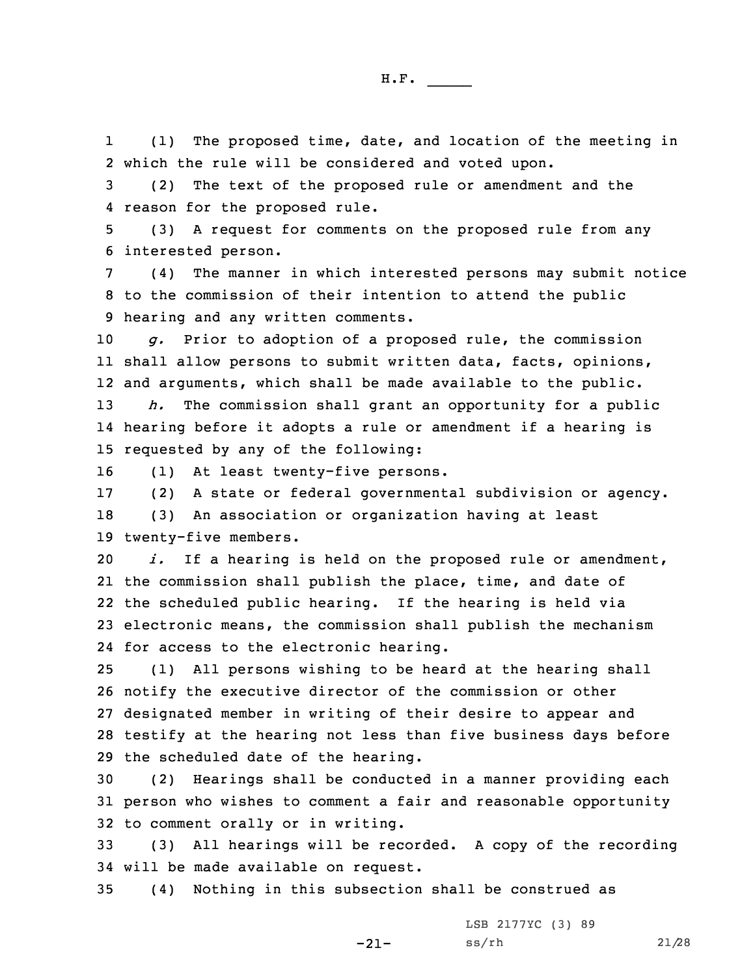1 (1) The proposed time, date, and location of the meeting in 2 which the rule will be considered and voted upon.

3 (2) The text of the proposed rule or amendment and the 4 reason for the proposed rule.

5 (3) <sup>A</sup> request for comments on the proposed rule from any 6 interested person.

7 (4) The manner in which interested persons may submit notice 8 to the commission of their intention to attend the public 9 hearing and any written comments.

10 *g.* Prior to adoption of <sup>a</sup> proposed rule, the commission 11 shall allow persons to submit written data, facts, opinions, 12 and arguments, which shall be made available to the public.

13 *h.* The commission shall grant an opportunity for <sup>a</sup> public 14 hearing before it adopts <sup>a</sup> rule or amendment if <sup>a</sup> hearing is 15 requested by any of the following:

16 (1) At least twenty-five persons.

17 (2) <sup>A</sup> state or federal governmental subdivision or agency. 18 (3) An association or organization having at least 19 twenty-five members.

 *i.* If <sup>a</sup> hearing is held on the proposed rule or amendment, the commission shall publish the place, time, and date of the scheduled public hearing. If the hearing is held via electronic means, the commission shall publish the mechanism for access to the electronic hearing.

 (1) All persons wishing to be heard at the hearing shall notify the executive director of the commission or other designated member in writing of their desire to appear and testify at the hearing not less than five business days before the scheduled date of the hearing.

30 (2) Hearings shall be conducted in <sup>a</sup> manner providing each 31 person who wishes to comment <sup>a</sup> fair and reasonable opportunity 32 to comment orally or in writing.

33 (3) All hearings will be recorded. <sup>A</sup> copy of the recording 34 will be made available on request.

-21-

35 (4) Nothing in this subsection shall be construed as

LSB 2177YC (3) 89 ss/rh 21/28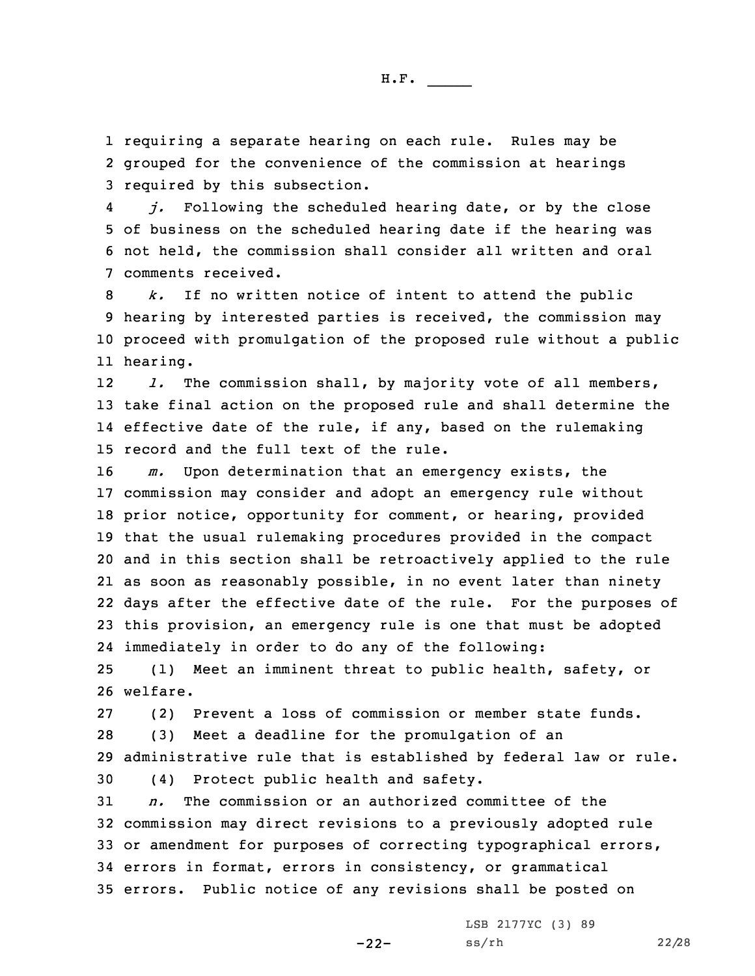1 requiring <sup>a</sup> separate hearing on each rule. Rules may be 2 grouped for the convenience of the commission at hearings 3 required by this subsection.

4 *j.* Following the scheduled hearing date, or by the close 5 of business on the scheduled hearing date if the hearing was 6 not held, the commission shall consider all written and oral 7 comments received.

 *k.* If no written notice of intent to attend the public hearing by interested parties is received, the commission may proceed with promulgation of the proposed rule without <sup>a</sup> public 11 hearing.

12 *l.* The commission shall, by majority vote of all members, 13 take final action on the proposed rule and shall determine the 14 effective date of the rule, if any, based on the rulemaking 15 record and the full text of the rule.

 *m.* Upon determination that an emergency exists, the commission may consider and adopt an emergency rule without prior notice, opportunity for comment, or hearing, provided that the usual rulemaking procedures provided in the compact and in this section shall be retroactively applied to the rule as soon as reasonably possible, in no event later than ninety days after the effective date of the rule. For the purposes of this provision, an emergency rule is one that must be adopted immediately in order to do any of the following:

25 (1) Meet an imminent threat to public health, safety, or 26 welfare.

27 (2) Prevent <sup>a</sup> loss of commission or member state funds. 28 (3) Meet <sup>a</sup> deadline for the promulgation of an

29 administrative rule that is established by federal law or rule.

30 (4) Protect public health and safety.

 *n.* The commission or an authorized committee of the commission may direct revisions to <sup>a</sup> previously adopted rule or amendment for purposes of correcting typographical errors, errors in format, errors in consistency, or grammatical errors. Public notice of any revisions shall be posted on

-22-

LSB 2177YC (3) 89 ss/rh 22/28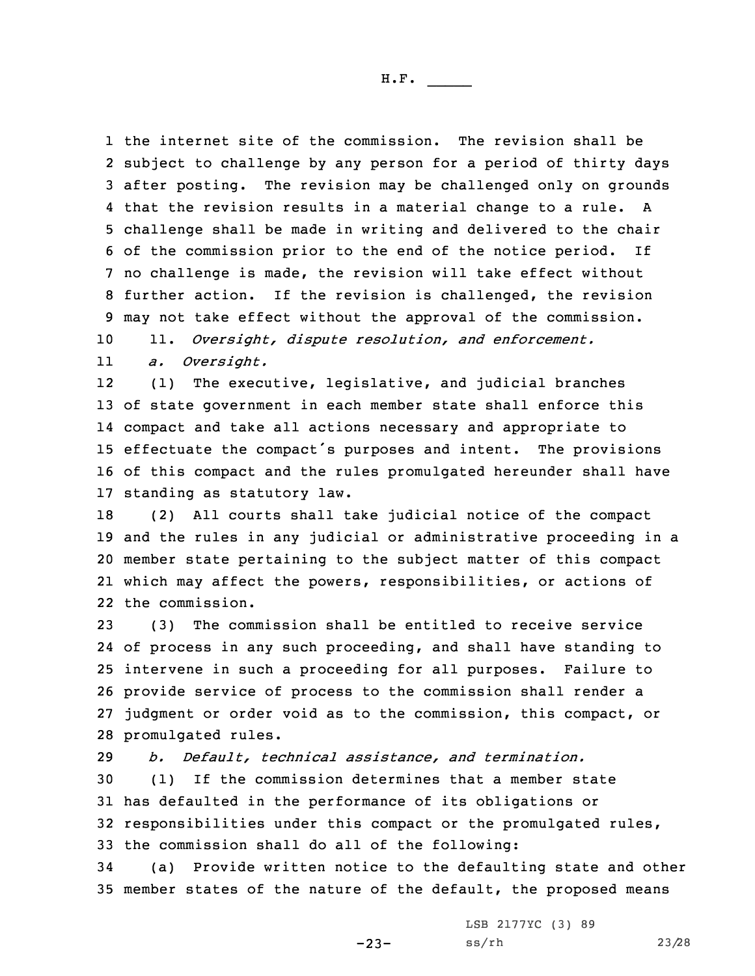the internet site of the commission. The revision shall be subject to challenge by any person for <sup>a</sup> period of thirty days after posting. The revision may be challenged only on grounds that the revision results in <sup>a</sup> material change to <sup>a</sup> rule. <sup>A</sup> challenge shall be made in writing and delivered to the chair of the commission prior to the end of the notice period. If no challenge is made, the revision will take effect without further action. If the revision is challenged, the revision may not take effect without the approval of the commission.

10 11. *Oversight, dispute resolution, and enforcement.*

11*a. Oversight.*

12 (1) The executive, legislative, and judicial branches of state government in each member state shall enforce this compact and take all actions necessary and appropriate to effectuate the compact's purposes and intent. The provisions of this compact and the rules promulgated hereunder shall have standing as statutory law.

 (2) All courts shall take judicial notice of the compact and the rules in any judicial or administrative proceeding in <sup>a</sup> member state pertaining to the subject matter of this compact which may affect the powers, responsibilities, or actions of the commission.

 (3) The commission shall be entitled to receive service of process in any such proceeding, and shall have standing to intervene in such <sup>a</sup> proceeding for all purposes. Failure to provide service of process to the commission shall render <sup>a</sup> judgment or order void as to the commission, this compact, or promulgated rules.

 *b. Default, technical assistance, and termination.* (1) If the commission determines that <sup>a</sup> member state has defaulted in the performance of its obligations or responsibilities under this compact or the promulgated rules, the commission shall do all of the following:

34 (a) Provide written notice to the defaulting state and other 35 member states of the nature of the default, the proposed means

-23-

LSB 2177YC (3) 89 ss/rh 23/28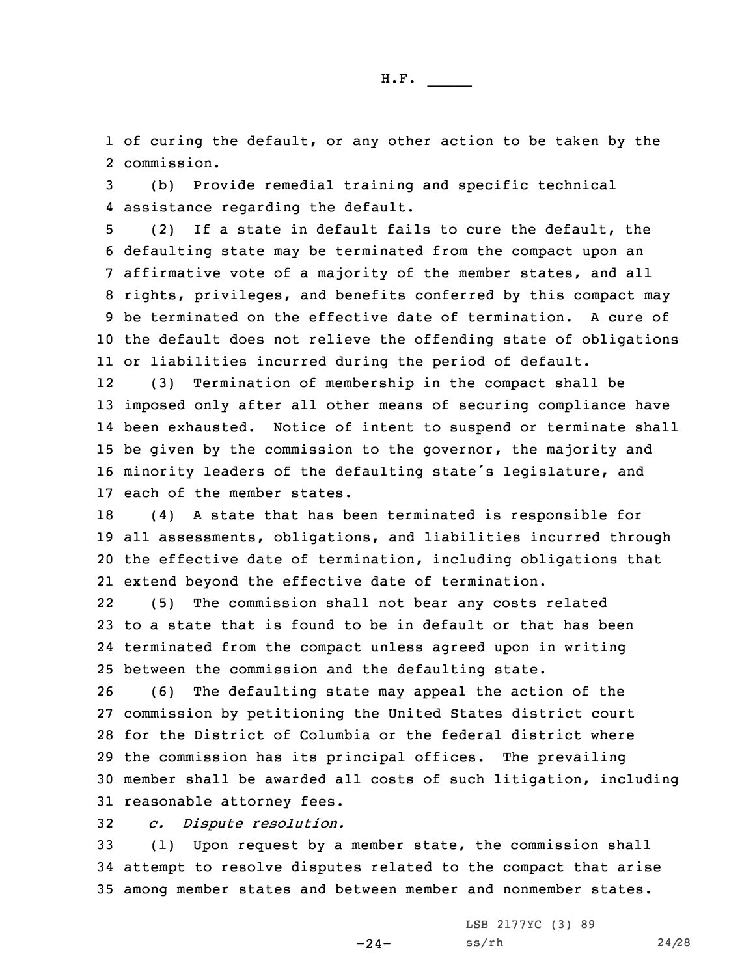1 of curing the default, or any other action to be taken by the 2 commission.

3 (b) Provide remedial training and specific technical 4 assistance regarding the default.

 (2) If <sup>a</sup> state in default fails to cure the default, the defaulting state may be terminated from the compact upon an affirmative vote of <sup>a</sup> majority of the member states, and all rights, privileges, and benefits conferred by this compact may be terminated on the effective date of termination. A cure of the default does not relieve the offending state of obligations or liabilities incurred during the period of default.

12 (3) Termination of membership in the compact shall be 13 imposed only after all other means of securing compliance have 14 been exhausted. Notice of intent to suspend or terminate shall 15 be given by the commission to the governor, the majority and <sup>16</sup> minority leaders of the defaulting state's legislature, and 17 each of the member states.

 (4) <sup>A</sup> state that has been terminated is responsible for all assessments, obligations, and liabilities incurred through the effective date of termination, including obligations that extend beyond the effective date of termination.

22 (5) The commission shall not bear any costs related 23 to <sup>a</sup> state that is found to be in default or that has been 24 terminated from the compact unless agreed upon in writing 25 between the commission and the defaulting state.

 (6) The defaulting state may appeal the action of the commission by petitioning the United States district court for the District of Columbia or the federal district where the commission has its principal offices. The prevailing member shall be awarded all costs of such litigation, including reasonable attorney fees.

32 *c. Dispute resolution.*

33 (1) Upon request by <sup>a</sup> member state, the commission shall 34 attempt to resolve disputes related to the compact that arise 35 among member states and between member and nonmember states.

 $-24-$ 

LSB 2177YC (3) 89 ss/rh 24/28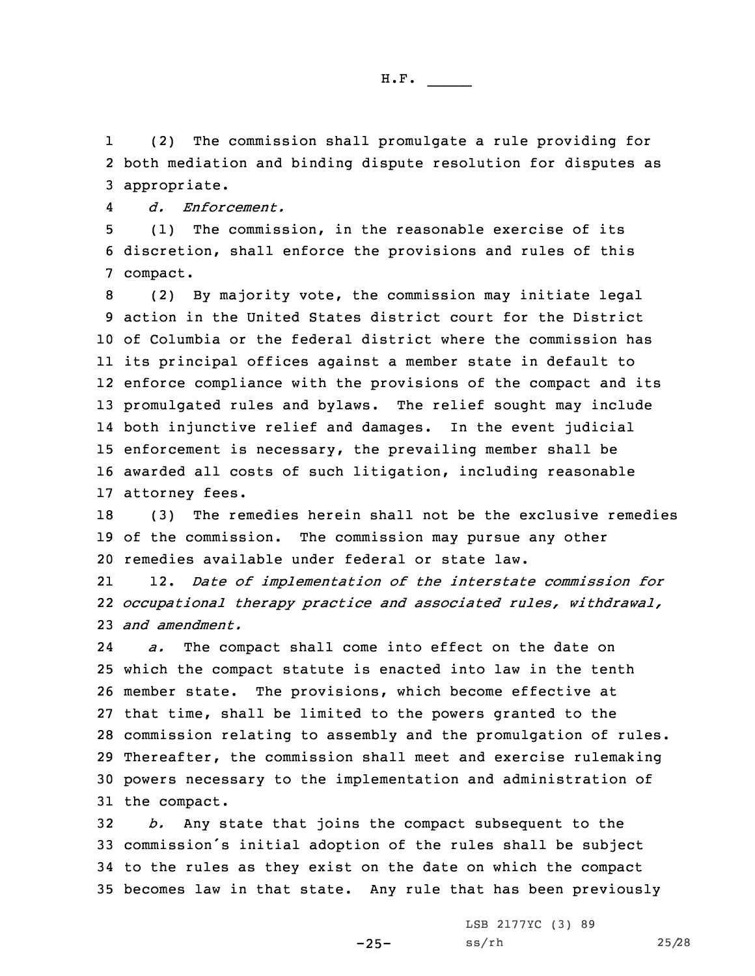1 (2) The commission shall promulgate <sup>a</sup> rule providing for 2 both mediation and binding dispute resolution for disputes as 3 appropriate.

4*d. Enforcement.*

5 (1) The commission, in the reasonable exercise of its 6 discretion, shall enforce the provisions and rules of this 7 compact.

 (2) By majority vote, the commission may initiate legal action in the United States district court for the District of Columbia or the federal district where the commission has its principal offices against <sup>a</sup> member state in default to enforce compliance with the provisions of the compact and its promulgated rules and bylaws. The relief sought may include both injunctive relief and damages. In the event judicial enforcement is necessary, the prevailing member shall be awarded all costs of such litigation, including reasonable attorney fees.

18 (3) The remedies herein shall not be the exclusive remedies 19 of the commission. The commission may pursue any other 20 remedies available under federal or state law.

21 12. *Date of implementation of the interstate commission for* 22 *occupational therapy practice and associated rules, withdrawal,* 23 *and amendment.*

24 *a.* The compact shall come into effect on the date on which the compact statute is enacted into law in the tenth member state. The provisions, which become effective at that time, shall be limited to the powers granted to the commission relating to assembly and the promulgation of rules. Thereafter, the commission shall meet and exercise rulemaking powers necessary to the implementation and administration of the compact.

 *b.* Any state that joins the compact subsequent to the commission's initial adoption of the rules shall be subject to the rules as they exist on the date on which the compact becomes law in that state. Any rule that has been previously

-25-

LSB 2177YC (3) 89 ss/rh 25/28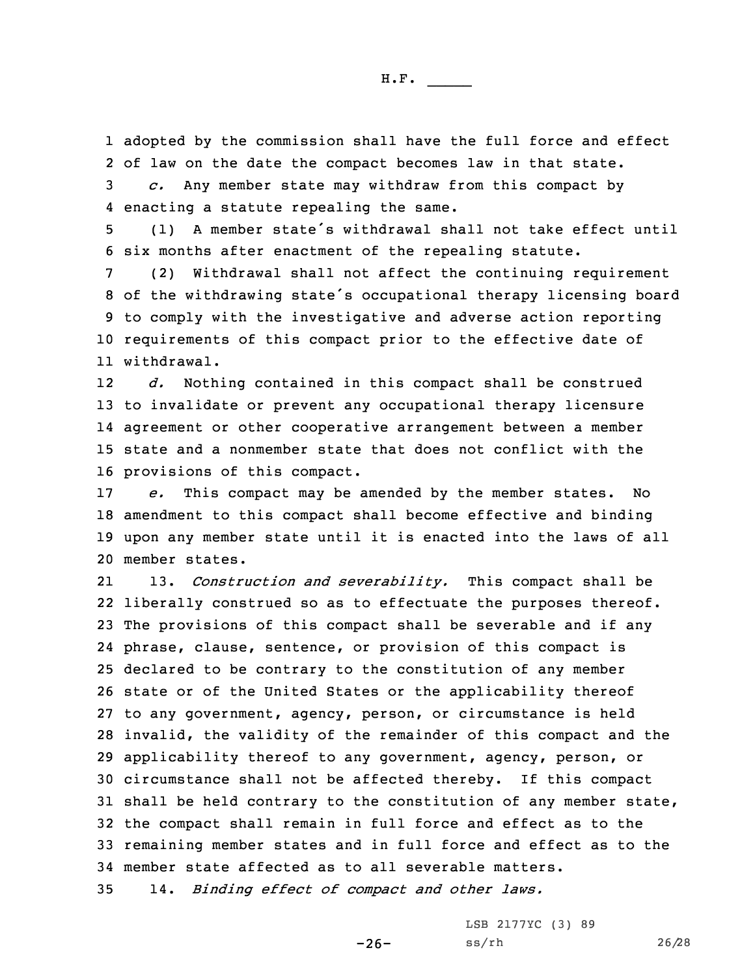1 adopted by the commission shall have the full force and effect 2 of law on the date the compact becomes law in that state. 3 *c.* Any member state may withdraw from this compact by

4 enacting <sup>a</sup> statute repealing the same.

<sup>5</sup> (1) <sup>A</sup> member state's withdrawal shall not take effect until 6 six months after enactment of the repealing statute.

 (2) Withdrawal shall not affect the continuing requirement of the withdrawing state's occupational therapy licensing board to comply with the investigative and adverse action reporting requirements of this compact prior to the effective date of withdrawal.

12 *d.* Nothing contained in this compact shall be construed to invalidate or prevent any occupational therapy licensure agreement or other cooperative arrangement between <sup>a</sup> member state and <sup>a</sup> nonmember state that does not conflict with the provisions of this compact.

 *e.* This compact may be amended by the member states. No amendment to this compact shall become effective and binding upon any member state until it is enacted into the laws of all member states.

21 13. *Construction and severability.* This compact shall be liberally construed so as to effectuate the purposes thereof. The provisions of this compact shall be severable and if any phrase, clause, sentence, or provision of this compact is declared to be contrary to the constitution of any member state or of the United States or the applicability thereof to any government, agency, person, or circumstance is held invalid, the validity of the remainder of this compact and the applicability thereof to any government, agency, person, or circumstance shall not be affected thereby. If this compact shall be held contrary to the constitution of any member state, the compact shall remain in full force and effect as to the remaining member states and in full force and effect as to the member state affected as to all severable matters.

35 14. *Binding effect of compact and other laws.*

LSB 2177YC (3) 89

ss/rh 26/28

-26-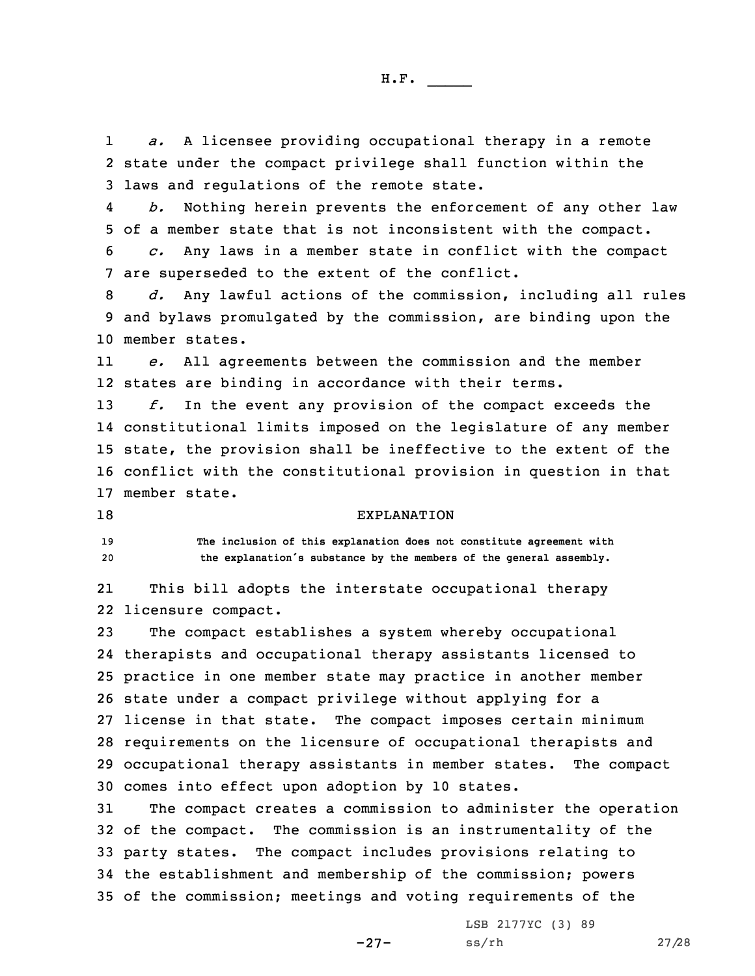1 *a.* <sup>A</sup> licensee providing occupational therapy in <sup>a</sup> remote 2 state under the compact privilege shall function within the 3 laws and regulations of the remote state.

4 *b.* Nothing herein prevents the enforcement of any other law 5 of <sup>a</sup> member state that is not inconsistent with the compact.

6 *c.* Any laws in <sup>a</sup> member state in conflict with the compact 7 are superseded to the extent of the conflict.

8 *d.* Any lawful actions of the commission, including all rules 9 and bylaws promulgated by the commission, are binding upon the 10 member states.

11 *e.* All agreements between the commission and the member 12 states are binding in accordance with their terms.

 *f.* In the event any provision of the compact exceeds the constitutional limits imposed on the legislature of any member state, the provision shall be ineffective to the extent of the conflict with the constitutional provision in question in that member state.

## 18 EXPLANATION

19 **The inclusion of this explanation does not constitute agreement with** <sup>20</sup> **the explanation's substance by the members of the general assembly.**

21 This bill adopts the interstate occupational therapy 22 licensure compact.

 The compact establishes <sup>a</sup> system whereby occupational therapists and occupational therapy assistants licensed to practice in one member state may practice in another member state under <sup>a</sup> compact privilege without applying for <sup>a</sup> license in that state. The compact imposes certain minimum requirements on the licensure of occupational therapists and occupational therapy assistants in member states. The compact comes into effect upon adoption by 10 states.

 The compact creates <sup>a</sup> commission to administer the operation of the compact. The commission is an instrumentality of the party states. The compact includes provisions relating to the establishment and membership of the commission; powers of the commission; meetings and voting requirements of the

-27-

LSB 2177YC (3) 89 ss/rh 27/28